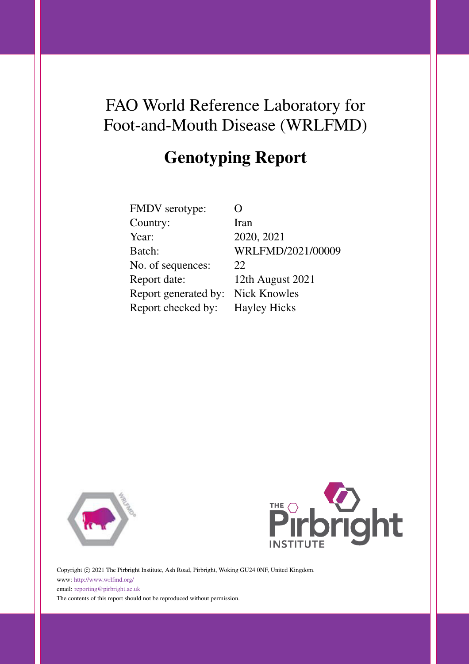# FAO World Reference Laboratory for Foot-and-Mouth Disease (WRLFMD)

# Genotyping Report

| FMDV serotype:       |     |
|----------------------|-----|
| Country:             | Ira |
| Year:                | 20  |
| Batch:               | W   |
| No. of sequences:    | 22  |
| Report date:         | 12  |
| Report generated by: | Ni  |
| Report checked by:   | He  |
|                      |     |

**Iran** 2020, 2021 WRLFMD/2021/00009 12th August 2021 Nick Knowles Hayley Hicks





Copyright © 2021 The Pirbright Institute, Ash Road, Pirbright, Woking GU24 0NF, United Kingdom. www: <http://www.wrlfmd.org/> email: [reporting@pirbright.ac.uk](mailto:reporting@pirbright.ac.uk) The contents of this report should not be reproduced without permission.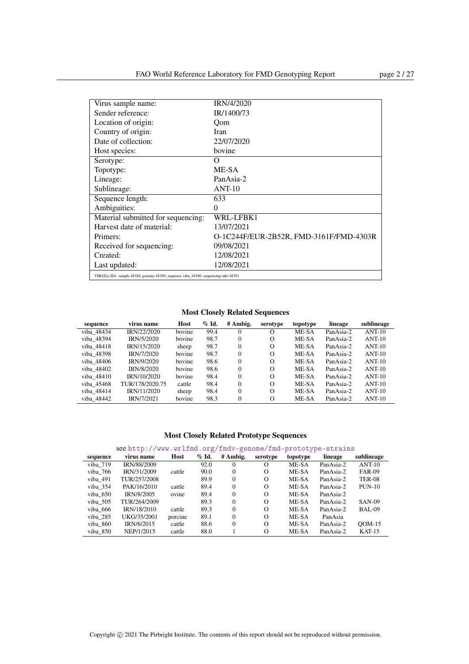| Virus sample name:                                                                  | <b>IRN/4/2020</b>                       |
|-------------------------------------------------------------------------------------|-----------------------------------------|
| Sender reference:                                                                   | IR/1400/73                              |
| Location of origin:                                                                 | Oom                                     |
| Country of origin:                                                                  | Iran                                    |
| Date of collection:                                                                 | 22/07/2020                              |
| Host species:                                                                       | bovine                                  |
| Serotype:                                                                           | Ω                                       |
| Topotype:                                                                           | ME-SA                                   |
| Lineage:                                                                            | PanAsia-2                               |
| Sublineage:                                                                         | $ANT-10$                                |
| Sequence length:                                                                    | 633                                     |
| Ambiguities:                                                                        | $\theta$                                |
| Material submitted for sequencing:                                                  | WRL-LFBK1                               |
| Harvest date of material:                                                           | 13/07/2021                              |
| Primers:                                                                            | O-1C244F/EUR-2B52R, FMD-3161F/FMD-4303R |
| Received for sequencing:                                                            | 09/08/2021                              |
| Created:                                                                            | 12/08/2021                              |
| Last updated:                                                                       | 12/08/2021                              |
| VIBASys IDs: sample 48388, genome 48389, sequence viba 48390, sequencing info 48391 |                                         |

| sequence   | virus name      | Host   | $\%$ Id. | # Ambig. | serotype | topotype | lineage   | sublineage |
|------------|-----------------|--------|----------|----------|----------|----------|-----------|------------|
| viba 48434 | IRN/22/2020     | bovine | 99.4     | 0        | О        | ME-SA    | PanAsia-2 | $ANT-10$   |
| viba 48394 | IRN/5/2020      | bovine | 98.7     | 0        | $\Omega$ | ME-SA    | PanAsia-2 | $ANT-10$   |
| viba 48418 | IRN/15/2020     | sheep  | 98.7     | $\Omega$ | $\Omega$ | ME-SA    | PanAsia-2 | $ANT-10$   |
| viba 48398 | IRN/7/2020      | bovine | 98.7     | $\Omega$ | $\Omega$ | ME-SA    | PanAsia-2 | $ANT-10$   |
| viba 48406 | IRN/9/2020      | bovine | 98.6     | $\Omega$ | $\Omega$ | ME-SA    | PanAsia-2 | $ANT-10$   |
| viba 48402 | IRN/8/2020      | bovine | 98.6     | $\Omega$ | $\Omega$ | ME-SA    | PanAsia-2 | $ANT-10$   |
| viba 48410 | IRN/10/2020     | bovine | 98.4     | $\Omega$ | $\Omega$ | ME-SA    | PanAsia-2 | $ANT-10$   |
| viba 45468 | TUR/178/2020.75 | cattle | 98.4     | $\theta$ | $\Omega$ | ME-SA    | PanAsia-2 | $ANT-10$   |
| viba 48414 | IRN/11/2020     | sheep  | 98.4     | $\Omega$ | $\Omega$ | ME-SA    | PanAsia-2 | $ANT-10$   |
| viba 48442 | IRN/7/2021      | bovine | 98.3     | $\theta$ | $\Omega$ | ME-SA    | PanAsia-2 | $ANT-10$   |

### Most Closely Related Prototype Sequences

| sequence | virus name   | Host    | $%$ Id. | # Ambig. | serotype | topotype | lineage   | sublineage    |
|----------|--------------|---------|---------|----------|----------|----------|-----------|---------------|
| viba 719 | IRN/88/2009  |         | 92.0    | $^{0}$   | O        | ME-SA    | PanAsia-2 | $ANT-10$      |
| viba 766 | IRN/31/2009  | cattle  | 90.0    | $\Omega$ | $\Omega$ | ME-SA    | PanAsia-2 | <b>FAR-09</b> |
| viba 491 | TUR/257/2008 |         | 89.9    | $\Omega$ | $\Omega$ | ME-SA    | PanAsia-2 | <b>TER-08</b> |
| viba 354 | PAK/16/2010  | cattle  | 89.4    | $\Omega$ | $\Omega$ | ME-SA    | PanAsia-2 | $PUN-10$      |
| viba 650 | IRN/8/2005   | ovine   | 89.4    | $\Omega$ | $\Omega$ | ME-SA    | PanAsia-2 |               |
| viba 505 | TUR/264/2009 |         | 89.3    | $\Omega$ | $\Omega$ | ME-SA    | PanAsia-2 | <b>SAN-09</b> |
| viba 666 | IRN/18/2010  | cattle  | 89.3    | $\Omega$ | $\Omega$ | ME-SA    | PanAsia-2 | BAL-09        |
| viba 285 | UKG/35/2001  | porcine | 89.1    | $\Omega$ | $\Omega$ | ME-SA    | PanAsia   |               |
| viba 860 | IRN/6/2015   | cattle  | 88.6    | $\Omega$ | $\Omega$ | ME-SA    | PanAsia-2 | $OM-15$       |
| viba 850 | NEP/1/2015   | cattle  | 88.0    |          | $\Omega$ | ME-SA    | PanAsia-2 | $KAT-15$      |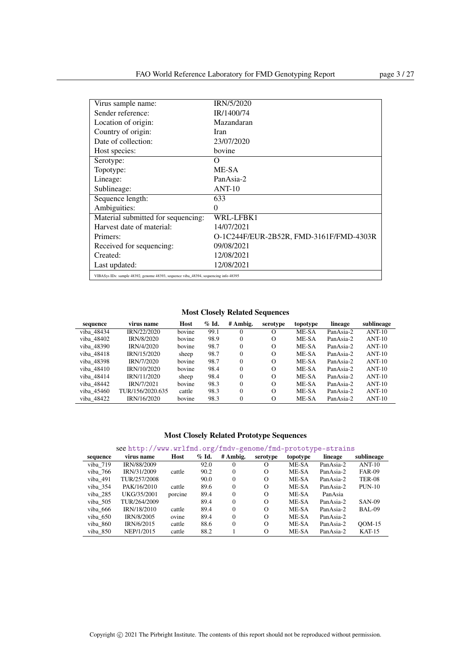| Virus sample name:                                                                  | <b>IRN/5/2020</b>                       |
|-------------------------------------------------------------------------------------|-----------------------------------------|
| Sender reference:                                                                   | IR/1400/74                              |
| Location of origin:                                                                 | Mazandaran                              |
| Country of origin:                                                                  | Iran                                    |
| Date of collection:                                                                 | 23/07/2020                              |
| Host species:                                                                       | bovine                                  |
| Serotype:                                                                           | Ω                                       |
| Topotype:                                                                           | ME-SA                                   |
| Lineage:                                                                            | PanAsia-2                               |
| Sublineage:                                                                         | $ANT-10$                                |
| Sequence length:                                                                    | 633                                     |
| Ambiguities:                                                                        | $\theta$                                |
| Material submitted for sequencing:                                                  | WRL-LFBK1                               |
| Harvest date of material:                                                           | 14/07/2021                              |
| Primers:                                                                            | O-1C244F/EUR-2B52R, FMD-3161F/FMD-4303R |
| Received for sequencing:                                                            | 09/08/2021                              |
| Created:                                                                            | 12/08/2021                              |
| Last updated:                                                                       | 12/08/2021                              |
| VIBASys IDs: sample 48392, genome 48393, sequence viba 48394, sequencing info 48395 |                                         |

| sequence   | virus name        | Host   | $\%$ Id. | # Ambig. | serotype | topotype | lineage   | sublineage |
|------------|-------------------|--------|----------|----------|----------|----------|-----------|------------|
| viba 48434 | IRN/22/2020       | bovine | 99.1     | 0        | $\Omega$ | ME-SA    | PanAsia-2 | $ANT-10$   |
| viba 48402 | <b>IRN/8/2020</b> | bovine | 98.9     | $\Omega$ | $\Omega$ | ME-SA    | PanAsia-2 | $ANT-10$   |
| viba 48390 | IRN/4/2020        | bovine | 98.7     | $\Omega$ | $\Omega$ | ME-SA    | PanAsia-2 | $ANT-10$   |
| viba 48418 | IRN/15/2020       | sheep  | 98.7     | $\Omega$ | $\Omega$ | ME-SA    | PanAsia-2 | $ANT-10$   |
| viba 48398 | IRN/7/2020        | bovine | 98.7     | $\Omega$ | $\Omega$ | ME-SA    | PanAsia-2 | $ANT-10$   |
| viba 48410 | IRN/10/2020       | bovine | 98.4     | $\Omega$ | $\Omega$ | ME-SA    | PanAsia-2 | $ANT-10$   |
| viba 48414 | IRN/11/2020       | sheep  | 98.4     | $\Omega$ | $\Omega$ | ME-SA    | PanAsia-2 | $ANT-10$   |
| viba 48442 | IRN/7/2021        | bovine | 98.3     | $\Omega$ | $\Omega$ | ME-SA    | PanAsia-2 | $ANT-10$   |
| viba 45460 | TUR/156/2020.635  | cattle | 98.3     | $\Omega$ | $\Omega$ | ME-SA    | PanAsia-2 | $ANT-10$   |
| viba 48422 | IRN/16/2020       | bovine | 98.3     | $\Omega$ | $\Omega$ | ME-SA    | PanAsia-2 | $ANT-10$   |

### Most Closely Related Prototype Sequences

| sequence | virus name        | Host    | $\%$ Id. | # Ambig. | serotype | topotype | lineage   | sublineage    |
|----------|-------------------|---------|----------|----------|----------|----------|-----------|---------------|
| viba 719 | IRN/88/2009       |         | 92.0     |          |          | ME-SA    | PanAsia-2 | $ANT-10$      |
| viba 766 | IRN/31/2009       | cattle  | 90.2     | $\Omega$ | $\Omega$ | ME-SA    | PanAsia-2 | <b>FAR-09</b> |
| viba 491 | TUR/257/2008      |         | 90.0     | $\Omega$ | $\Omega$ | ME-SA    | PanAsia-2 | <b>TER-08</b> |
| viba 354 | PAK/16/2010       | cattle  | 89.6     | $\Omega$ | $\Omega$ | ME-SA    | PanAsia-2 | $PUN-10$      |
| viba 285 | UKG/35/2001       | porcine | 89.4     | $\Omega$ | $\Omega$ | ME-SA    | PanAsia   |               |
| viba 505 | TUR/264/2009      |         | 89.4     | $\Omega$ | $\Omega$ | ME-SA    | PanAsia-2 | <b>SAN-09</b> |
| viba 666 | IRN/18/2010       | cattle  | 89.4     | $\Omega$ | $\Omega$ | ME-SA    | PanAsia-2 | <b>BAL-09</b> |
| viba 650 | <b>IRN/8/2005</b> | ovine   | 89.4     | $\Omega$ | $\Omega$ | ME-SA    | PanAsia-2 |               |
| viba 860 | IRN/6/2015        | cattle  | 88.6     | $\Omega$ | $\Omega$ | ME-SA    | PanAsia-2 | $OM-15$       |
| viba 850 | NEP/1/2015        | cattle  | 88.2     |          | $\Omega$ | ME-SA    | PanAsia-2 | $KAT-15$      |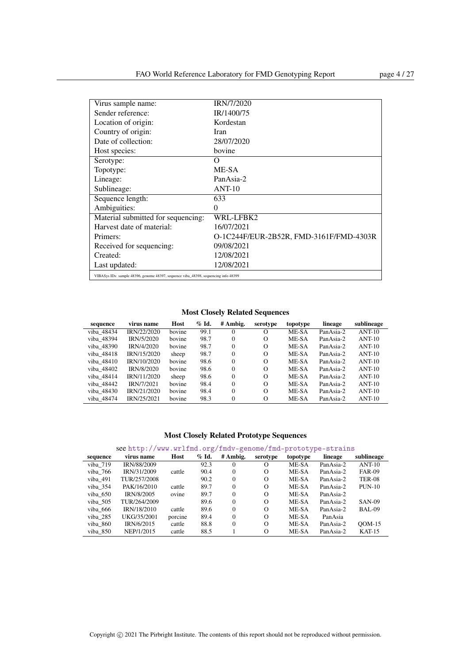| Virus sample name:                                                                  | <b>IRN/7/2020</b>                       |
|-------------------------------------------------------------------------------------|-----------------------------------------|
| Sender reference:                                                                   | IR/1400/75                              |
| Location of origin:                                                                 | Kordestan                               |
| Country of origin:                                                                  | Iran                                    |
| Date of collection:                                                                 | 28/07/2020                              |
| Host species:                                                                       | bovine                                  |
| Serotype:                                                                           | Ω                                       |
| Topotype:                                                                           | ME-SA                                   |
| Lineage:                                                                            | PanAsia-2                               |
| Sublineage:                                                                         | $ANT-10$                                |
| Sequence length:                                                                    | 633                                     |
| Ambiguities:                                                                        | $\theta$                                |
| Material submitted for sequencing:                                                  | WRL-LFBK2                               |
| Harvest date of material:                                                           | 16/07/2021                              |
| Primers:                                                                            | O-1C244F/EUR-2B52R, FMD-3161F/FMD-4303R |
| Received for sequencing:                                                            | 09/08/2021                              |
| Created:                                                                            | 12/08/2021                              |
| Last updated:                                                                       | 12/08/2021                              |
| VIBASys IDs: sample 48396, genome 48397, sequence viba 48398, sequencing info 48399 |                                         |

Most Closely Related Sequences

| sequence   | virus name  | Host   | $%$ Id. | # Ambig. | serotype | topotype | lineage   | sublineage |
|------------|-------------|--------|---------|----------|----------|----------|-----------|------------|
| viba 48434 | IRN/22/2020 | bovine | 99.1    | $\Omega$ | O        | ME-SA    | PanAsia-2 | $ANT-10$   |
| viba 48394 | IRN/5/2020  | bovine | 98.7    | $\Omega$ | $\Omega$ | ME-SA    | PanAsia-2 | $ANT-10$   |
| viba 48390 | IRN/4/2020  | hovine | 98.7    | $\Omega$ | $\Omega$ | ME-SA    | PanAsia-2 | $ANT-10$   |
| viba 48418 | IRN/15/2020 | sheep  | 98.7    | $\Omega$ | $\Omega$ | ME-SA    | PanAsia-2 | $ANT-10$   |
| viba 48410 | IRN/10/2020 | bovine | 98.6    | $\Omega$ | $\Omega$ | ME-SA    | PanAsia-2 | $ANT-10$   |
| viba 48402 | IRN/8/2020  | bovine | 98.6    | $\Omega$ | $\Omega$ | ME-SA    | PanAsia-2 | $ANT-10$   |
| viba 48414 | IRN/11/2020 | sheep  | 98.6    | $\Omega$ | $\Omega$ | ME-SA    | PanAsia-2 | $ANT-10$   |
| viba 48442 | IRN/7/2021  | bovine | 98.4    | $\Omega$ | $\Omega$ | ME-SA    | PanAsia-2 | $ANT-10$   |
| viba 48430 | IRN/21/2020 | bovine | 98.4    | $\Omega$ | $\Omega$ | ME-SA    | PanAsia-2 | $ANT-10$   |
| viba 48474 | IRN/25/2021 | bovine | 98.3    | $\Omega$ | $\Omega$ | ME-SA    | PanAsia-2 | $ANT-10$   |

| sequence | virus name         | Host    | $\%$ Id. | # Ambig. | serotype | topotype | lineage   | sublineage    |
|----------|--------------------|---------|----------|----------|----------|----------|-----------|---------------|
| viba 719 | <b>IRN/88/2009</b> |         | 92.3     |          | O        | ME-SA    | PanAsia-2 | $ANT-10$      |
| viba 766 | IRN/31/2009        | cattle  | 90.4     | $\Omega$ | $\Omega$ | ME-SA    | PanAsia-2 | <b>FAR-09</b> |
| viba 491 | TUR/257/2008       |         | 90.2     | $\Omega$ | $\Omega$ | ME-SA    | PanAsia-2 | <b>TER-08</b> |
| viba 354 | PAK/16/2010        | cattle  | 89.7     | $\Omega$ | $\Omega$ | ME-SA    | PanAsia-2 | $PUN-10$      |
| viba 650 | IRN/8/2005         | ovine   | 89.7     | $\Omega$ | $\Omega$ | ME-SA    | PanAsia-2 |               |
| viba 505 | TUR/264/2009       |         | 89.6     | $^{0}$   | $\Omega$ | ME-SA    | PanAsia-2 | <b>SAN-09</b> |
| viba 666 | <b>IRN/18/2010</b> | cattle  | 89.6     | $\Omega$ | $\Omega$ | ME-SA    | PanAsia-2 | BAL-09        |
| viba 285 | UKG/35/2001        | porcine | 89.4     | $\Omega$ | $\Omega$ | ME-SA    | PanAsia   |               |
| viba 860 | IRN/6/2015         | cattle  | 88.8     | $\Omega$ | $\Omega$ | ME-SA    | PanAsia-2 | $OM-15$       |
| viba 850 | NEP/1/2015         | cattle  | 88.5     |          | $\Omega$ | ME-SA    | PanAsia-2 | $KAT-15$      |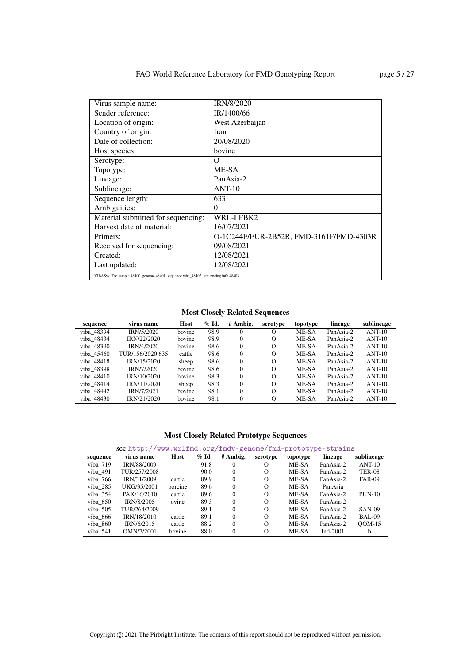| Virus sample name:                                                                  | <b>IRN/8/2020</b>                       |
|-------------------------------------------------------------------------------------|-----------------------------------------|
| Sender reference:                                                                   | IR/1400/66                              |
| Location of origin:                                                                 | West Azerbaijan                         |
| Country of origin:                                                                  | Iran                                    |
| Date of collection:                                                                 | 20/08/2020                              |
| Host species:                                                                       | bovine                                  |
| Serotype:                                                                           | Ω                                       |
| Topotype:                                                                           | ME-SA                                   |
| Lineage:                                                                            | PanAsia-2                               |
| Sublineage:                                                                         | $ANT-10$                                |
| Sequence length:                                                                    | 633                                     |
| Ambiguities:                                                                        | $\theta$                                |
| Material submitted for sequencing:                                                  | WRL-LFBK2                               |
| Harvest date of material:                                                           | 16/07/2021                              |
| Primers:                                                                            | O-1C244F/EUR-2B52R, FMD-3161F/FMD-4303R |
| Received for sequencing:                                                            | 09/08/2021                              |
| Created:                                                                            | 12/08/2021                              |
| Last updated:                                                                       | 12/08/2021                              |
| VIBASys IDs: sample 48400, genome 48401, sequence viba 48402, sequencing info 48403 |                                         |

| sequence   | virus name        | Host   | $%$ Id. | # Ambig. | serotype | topotype | lineage   | sublineage |
|------------|-------------------|--------|---------|----------|----------|----------|-----------|------------|
| viba 48394 | IRN/5/2020        | bovine | 98.9    | $\Omega$ | $\Omega$ | ME-SA    | PanAsia-2 | $ANT-10$   |
| viba 48434 | IRN/22/2020       | bovine | 98.9    | $\Omega$ | O        | ME-SA    | PanAsia-2 | $ANT-10$   |
| viba 48390 | <b>IRN/4/2020</b> | bovine | 98.6    | $\Omega$ | $\Omega$ | ME-SA    | PanAsia-2 | $ANT-10$   |
| viba 45460 | TUR/156/2020.635  | cattle | 98.6    | $\Omega$ | $\Omega$ | ME-SA    | PanAsia-2 | $ANT-10$   |
| viba 48418 | IRN/15/2020       | sheep  | 98.6    | $\Omega$ | $\Omega$ | ME-SA    | PanAsia-2 | $ANT-10$   |
| viba 48398 | IRN/7/2020        | bovine | 98.6    | $\Omega$ | $\Omega$ | ME-SA    | PanAsia-2 | $ANT-10$   |
| viba 48410 | IRN/10/2020       | bovine | 98.3    | $\Omega$ | $\Omega$ | ME-SA    | PanAsia-2 | $ANT-10$   |
| viba 48414 | IRN/11/2020       | sheep  | 98.3    | 0        | $\Omega$ | ME-SA    | PanAsia-2 | $ANT-10$   |
| viba 48442 | IRN/7/2021        | bovine | 98.1    | $\Omega$ | $\Omega$ | ME-SA    | PanAsia-2 | $ANT-10$   |
| viba 48430 | IRN/21/2020       | bovine | 98.1    | $\Omega$ | $\Omega$ | ME-SA    | PanAsia-2 | $ANT-10$   |

### Most Closely Related Prototype Sequences

| sequence   | virus name   | Host    | $\%$ Id. | # Ambig. | serotype | topotype | lineage     | sublineage    |
|------------|--------------|---------|----------|----------|----------|----------|-------------|---------------|
| viba 719   | IRN/88/2009  |         | 91.8     | 0        | O        | ME-SA    | PanAsia-2   | $ANT-10$      |
| viba 491   | TUR/257/2008 |         | 90.0     | 0        | $\Omega$ | ME-SA    | PanAsia-2   | <b>TER-08</b> |
| viba 766   | IRN/31/2009  | cattle  | 89.9     | 0        | $\Omega$ | ME-SA    | PanAsia-2   | <b>FAR-09</b> |
| viba 285   | UKG/35/2001  | porcine | 89.6     | 0        | $\Omega$ | ME-SA    | PanAsia     |               |
| viba 354   | PAK/16/2010  | cattle  | 89.6     | 0        | $\Omega$ | ME-SA    | PanAsia-2   | $PUN-10$      |
| viba 650   | IRN/8/2005   | ovine   | 89.3     | 0        | $\Omega$ | ME-SA    | PanAsia-2   |               |
| viba 505   | TUR/264/2009 |         | 89.1     | 0        | $\Omega$ | ME-SA    | PanAsia-2   | <b>SAN-09</b> |
| viba 666   | IRN/18/2010  | cattle  | 89.1     | 0        | $\Omega$ | ME-SA    | PanAsia-2   | BAL-09        |
| viba 860   | IRN/6/2015   | cattle  | 88.2     | 0        | $\Omega$ | ME-SA    | PanAsia-2   | $ODM-15$      |
| viba $541$ | OMN/7/2001   | bovine  | 88.0     | 0        | $\Omega$ | ME-SA    | Ind- $2001$ | b             |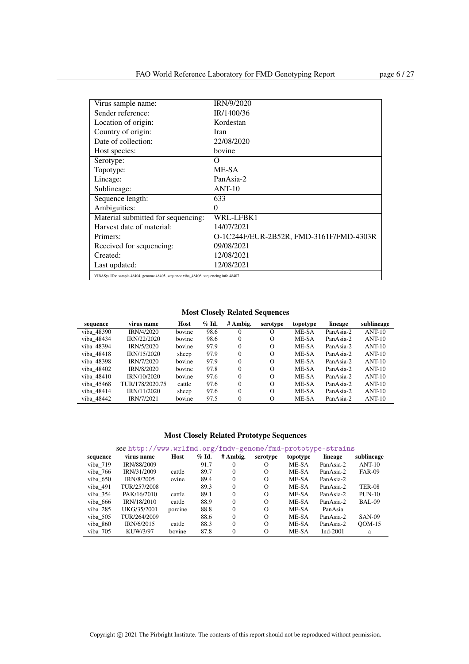| Virus sample name:                 | <b>IRN/9/2020</b>                       |
|------------------------------------|-----------------------------------------|
| Sender reference:                  | IR/1400/36                              |
| Location of origin:                | Kordestan                               |
| Country of origin:                 | Iran                                    |
| Date of collection:                | 22/08/2020                              |
| Host species:                      | bovine                                  |
| Serotype:                          | Ω                                       |
| Topotype:                          | ME-SA                                   |
| Lineage:                           | PanAsia-2                               |
| Sublineage:                        | $ANT-10$                                |
| Sequence length:                   | 633                                     |
| Ambiguities:                       | $\Omega$                                |
| Material submitted for sequencing: | WRL-LFBK1                               |
| Harvest date of material:          | 14/07/2021                              |
| Primers:                           | O-1C244F/EUR-2B52R, FMD-3161F/FMD-4303R |
| Received for sequencing:           | 09/08/2021                              |
| Created:                           | 12/08/2021                              |
| Last updated:                      | 12/08/2021                              |
|                                    |                                         |

VIBASys IDs: sample 48404, genome 48405, sequence viba\_48406, sequencing info 48407

### Most Closely Related Sequences

| sequence   | virus name        | Host   | $\%$ Id. | # Ambig. | serotype | topotype | lineage   | sublineage |
|------------|-------------------|--------|----------|----------|----------|----------|-----------|------------|
| viba 48390 | <b>IRN/4/2020</b> | bovine | 98.6     | 0        | О        | ME-SA    | PanAsia-2 | $ANT-10$   |
| viba 48434 | IRN/22/2020       | bovine | 98.6     | 0        | $\Omega$ | ME-SA    | PanAsia-2 | $ANT-10$   |
| viba 48394 | IRN/5/2020        | bovine | 97.9     | $\Omega$ | $\Omega$ | ME-SA    | PanAsia-2 | $ANT-10$   |
| viba 48418 | IRN/15/2020       | sheep  | 97.9     | $\Omega$ | $\Omega$ | ME-SA    | PanAsia-2 | $ANT-10$   |
| viba 48398 | IRN/7/2020        | bovine | 97.9     | $\Omega$ | $\Omega$ | ME-SA    | PanAsia-2 | $ANT-10$   |
| viba 48402 | IRN/8/2020        | bovine | 97.8     | $\Omega$ | $\Omega$ | ME-SA    | PanAsia-2 | $ANT-10$   |
| viba 48410 | IRN/10/2020       | bovine | 97.6     | $\Omega$ | $\Omega$ | ME-SA    | PanAsia-2 | $ANT-10$   |
| viba 45468 | TUR/178/2020.75   | cattle | 97.6     | $\Omega$ | $\Omega$ | ME-SA    | PanAsia-2 | $ANT-10$   |
| viba 48414 | IRN/11/2020       | sheep  | 97.6     | $\Omega$ | $\Omega$ | ME-SA    | PanAsia-2 | $ANT-10$   |
| viba 48442 | IRN/7/2021        | bovine | 97.5     | $\theta$ | $\Omega$ | ME-SA    | PanAsia-2 | $ANT-10$   |

### Most Closely Related Prototype Sequences

### see <http://www.wrlfmd.org/fmdv-genome/fmd-prototype-strains>

| sequence | virus name   | Host    | $%$ Id. | # Ambig. | serotype | topotype | lineage   | sublineage    |
|----------|--------------|---------|---------|----------|----------|----------|-----------|---------------|
| viba 719 | IRN/88/2009  |         | 91.7    | 0        | O        | ME-SA    | PanAsia-2 | $ANT-10$      |
| viba 766 | IRN/31/2009  | cattle  | 89.7    | $\Omega$ | $\Omega$ | ME-SA    | PanAsia-2 | <b>FAR-09</b> |
| viba 650 | IRN/8/2005   | ovine   | 89.4    | $^{0}$   | $\Omega$ | ME-SA    | PanAsia-2 |               |
| viba 491 | TUR/257/2008 |         | 89.3    | $\Omega$ | $\Omega$ | ME-SA    | PanAsia-2 | <b>TER-08</b> |
| viba 354 | PAK/16/2010  | cattle  | 89.1    | $\Omega$ | $\Omega$ | ME-SA    | PanAsia-2 | $PUN-10$      |
| viba 666 | IRN/18/2010  | cattle  | 88.9    | $\Omega$ | $\Omega$ | ME-SA    | PanAsia-2 | BAL-09        |
| viba 285 | UKG/35/2001  | porcine | 88.8    | $\Omega$ | $\Omega$ | ME-SA    | PanAsia   |               |
| viba 505 | TUR/264/2009 |         | 88.6    | $\Omega$ | $\Omega$ | ME-SA    | PanAsia-2 | <b>SAN-09</b> |
| viba 860 | IRN/6/2015   | cattle  | 88.3    | $\Omega$ | $\Omega$ | ME-SA    | PanAsia-2 | $OM-15$       |
| viba 705 | KUW/3/97     | bovine  | 87.8    | 0        | $\Omega$ | ME-SA    | Ind-2001  | a             |

ı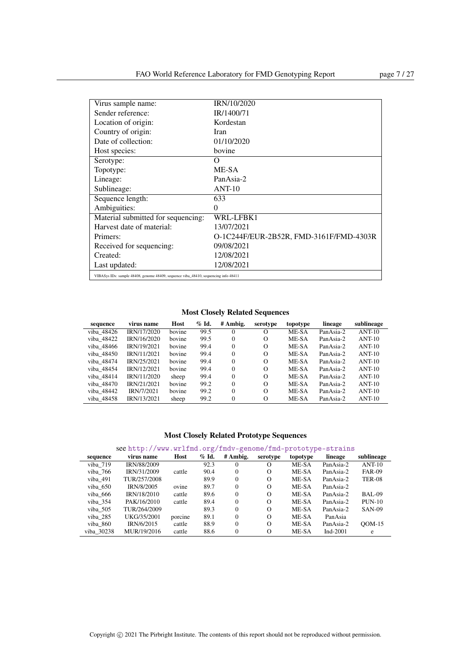| Virus sample name:                                                                  | IRN/10/2020                             |
|-------------------------------------------------------------------------------------|-----------------------------------------|
| Sender reference:                                                                   | IR/1400/71                              |
| Location of origin:                                                                 | Kordestan                               |
| Country of origin:                                                                  | Iran                                    |
| Date of collection:                                                                 | 01/10/2020                              |
| Host species:                                                                       | bovine                                  |
| Serotype:                                                                           | Ω                                       |
| Topotype:                                                                           | ME-SA                                   |
| Lineage:                                                                            | PanAsia-2                               |
| Sublineage:                                                                         | $ANT-10$                                |
| Sequence length:                                                                    | 633                                     |
| Ambiguities:                                                                        | $\theta$                                |
| Material submitted for sequencing:                                                  | WRL-LFBK1                               |
| Harvest date of material:                                                           | 13/07/2021                              |
| Primers:                                                                            | O-1C244F/EUR-2B52R, FMD-3161F/FMD-4303R |
| Received for sequencing:                                                            | 09/08/2021                              |
| Created:                                                                            | 12/08/2021                              |
| Last updated:                                                                       | 12/08/2021                              |
| VIBASys IDs: sample 48408, genome 48409, sequence viba 48410, sequencing info 48411 |                                         |

| sequence   | virus name  | Host   | $\%$ Id. | # Ambig. | serotype | topotype | lineage   | sublineage |
|------------|-------------|--------|----------|----------|----------|----------|-----------|------------|
| viba 48426 | IRN/17/2020 | bovine | 99.5     | $\Omega$ | O        | ME-SA    | PanAsia-2 | $ANT-10$   |
| viba 48422 | IRN/16/2020 | bovine | 99.5     | $\Omega$ | $\Omega$ | ME-SA    | PanAsia-2 | $ANT-10$   |
| viba 48466 | IRN/19/2021 | hovine | 99.4     | $\Omega$ | $\Omega$ | ME-SA    | PanAsia-2 | $ANT-10$   |
| viba 48450 | IRN/11/2021 | bovine | 99.4     | $\Omega$ | $\Omega$ | ME-SA    | PanAsia-2 | $ANT-10$   |
| viba 48474 | IRN/25/2021 | bovine | 99.4     | $\Omega$ | $\Omega$ | ME-SA    | PanAsia-2 | $ANT-10$   |
| viba 48454 | IRN/12/2021 | bovine | 99.4     | $\Omega$ | $\Omega$ | ME-SA    | PanAsia-2 | $ANT-10$   |
| viba 48414 | IRN/11/2020 | sheep  | 99.4     | $\Omega$ | $\Omega$ | ME-SA    | PanAsia-2 | $ANT-10$   |
| viba 48470 | IRN/21/2021 | bovine | 99.2     | $\Omega$ | $\Omega$ | ME-SA    | PanAsia-2 | $ANT-10$   |
| viba 48442 | IRN/7/2021  | bovine | 99.2     | $\Omega$ | $\Omega$ | ME-SA    | PanAsia-2 | $ANT-10$   |
| viba 48458 | IRN/13/2021 | sheep  | 99.2     | $\Omega$ | $\Omega$ | ME-SA    | PanAsia-2 | $ANT-10$   |

### Most Closely Related Prototype Sequences

| sequence   | virus name   | Host    | $\%$ Id. | # Ambig. | serotype | topotype | lineage     | sublineage    |
|------------|--------------|---------|----------|----------|----------|----------|-------------|---------------|
| viba 719   | IRN/88/2009  |         | 92.3     | 0        | O        | ME-SA    | PanAsia-2   | $ANT-10$      |
| viba 766   | IRN/31/2009  | cattle  | 90.4     | $\theta$ | $\Omega$ | ME-SA    | PanAsia-2   | <b>FAR-09</b> |
| viba 491   | TUR/257/2008 |         | 89.9     | $\Omega$ | $\Omega$ | ME-SA    | PanAsia-2   | <b>TER-08</b> |
| viba 650   | IRN/8/2005   | ovine   | 89.7     | $\Omega$ | $\Omega$ | ME-SA    | PanAsia-2   |               |
| viba 666   | IRN/18/2010  | cattle  | 89.6     | $\Omega$ | $\Omega$ | ME-SA    | PanAsia-2   | <b>BAL-09</b> |
| viba 354   | PAK/16/2010  | cattle  | 89.4     | $\Omega$ | $\Omega$ | ME-SA    | PanAsia-2   | $PUN-10$      |
| viba 505   | TUR/264/2009 |         | 89.3     | $\theta$ | $\Omega$ | ME-SA    | PanAsia-2   | <b>SAN-09</b> |
| viba 285   | UKG/35/2001  | porcine | 89.1     | $\theta$ | $\Omega$ | ME-SA    | PanAsia     |               |
| viba 860   | IRN/6/2015   | cattle  | 88.9     | $\theta$ | $\Omega$ | ME-SA    | PanAsia-2   | $OM-15$       |
| viba 30238 | MUR/19/2016  | cattle  | 88.6     | $\theta$ | $\Omega$ | ME-SA    | Ind- $2001$ | e             |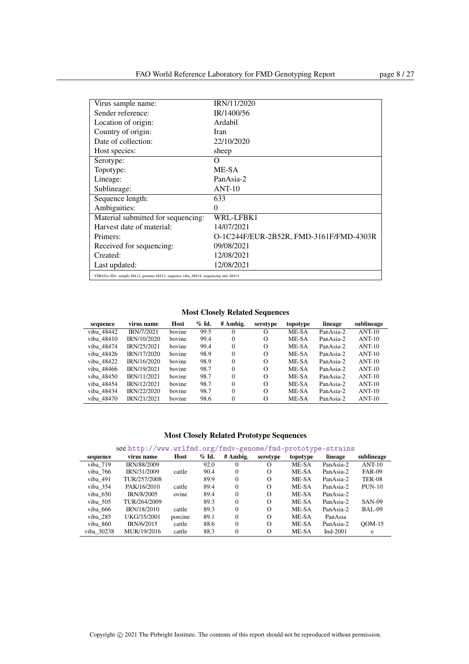| Virus sample name:                                                                  | IRN/11/2020                             |
|-------------------------------------------------------------------------------------|-----------------------------------------|
| Sender reference:                                                                   | IR/1400/56                              |
| Location of origin:                                                                 | Ardabil                                 |
| Country of origin:                                                                  | Iran                                    |
| Date of collection:                                                                 | 22/10/2020                              |
| Host species:                                                                       | sheep                                   |
| Serotype:                                                                           | Ω                                       |
| Topotype:                                                                           | ME-SA                                   |
| Lineage:                                                                            | PanAsia-2                               |
| Sublineage:                                                                         | $ANT-10$                                |
| Sequence length:                                                                    | 633                                     |
| Ambiguities:                                                                        | $\theta$                                |
| Material submitted for sequencing:                                                  | WRL-LFBK1                               |
| Harvest date of material:                                                           | 14/07/2021                              |
| Primers:                                                                            | O-1C244F/EUR-2B52R, FMD-3161F/FMD-4303R |
| Received for sequencing:                                                            | 09/08/2021                              |
| Created:                                                                            | 12/08/2021                              |
| Last updated:                                                                       | 12/08/2021                              |
| VIBASys IDs: sample 48412, genome 48413, sequence viba 48414, sequencing info 48415 |                                         |

| sequence   | virus name  | Host   | $\%$ Id. | # Ambig. | serotype | topotype | lineage   | sublineage |
|------------|-------------|--------|----------|----------|----------|----------|-----------|------------|
| viba 48442 | IRN/7/2021  | bovine | 99.5     | $\Omega$ | O        | ME-SA    | PanAsia-2 | $ANT-10$   |
| viba 48410 | IRN/10/2020 | bovine | 99.4     | $\Omega$ | $\Omega$ | ME-SA    | PanAsia-2 | $ANT-10$   |
| viba 48474 | IRN/25/2021 | hovine | 99.4     | $\Omega$ | $\Omega$ | ME-SA    | PanAsia-2 | $ANT-10$   |
| viba 48426 | IRN/17/2020 | bovine | 98.9     | $\Omega$ | $\Omega$ | ME-SA    | PanAsia-2 | $ANT-10$   |
| viba 48422 | IRN/16/2020 | bovine | 98.9     | $\Omega$ | $\Omega$ | ME-SA    | PanAsia-2 | $ANT-10$   |
| viba 48466 | IRN/19/2021 | bovine | 98.7     | $\Omega$ | $\Omega$ | ME-SA    | PanAsia-2 | $ANT-10$   |
| viba 48450 | IRN/11/2021 | bovine | 98.7     | $\Omega$ | $\Omega$ | ME-SA    | PanAsia-2 | $ANT-10$   |
| viba 48454 | IRN/12/2021 | bovine | 98.7     | $\Omega$ | $\Omega$ | ME-SA    | PanAsia-2 | $ANT-10$   |
| viba 48434 | IRN/22/2020 | bovine | 98.7     | $\Omega$ | $\Omega$ | ME-SA    | PanAsia-2 | $ANT-10$   |
| viba 48470 | IRN/21/2021 | bovine | 98.6     | $\Omega$ | $\Omega$ | ME-SA    | PanAsia-2 | $ANT-10$   |

### Most Closely Related Prototype Sequences

| sequence   | virus name   | Host    | $%$ Id. | # Ambig. | serotype | topotype | lineage     | sublineage    |
|------------|--------------|---------|---------|----------|----------|----------|-------------|---------------|
| viba 719   | IRN/88/2009  |         | 92.0    | 0        |          | ME-SA    | PanAsia-2   | $ANT-10$      |
| viba 766   | IRN/31/2009  | cattle  | 90.4    | $\Omega$ | $\Omega$ | ME-SA    | PanAsia-2   | <b>FAR-09</b> |
| viba 491   | TUR/257/2008 |         | 89.9    | $\Omega$ | $\Omega$ | ME-SA    | PanAsia-2   | <b>TER-08</b> |
| viba 354   | PAK/16/2010  | cattle  | 89.4    | $\Omega$ | $\Omega$ | ME-SA    | PanAsia-2   | $PUN-10$      |
| viba 650   | IRN/8/2005   | ovine   | 89.4    | $\Omega$ | $\Omega$ | ME-SA    | PanAsia-2   |               |
| viba 505   | TUR/264/2009 |         | 89.3    | $\Omega$ | $\Omega$ | ME-SA    | PanAsia-2   | <b>SAN-09</b> |
| viba 666   | IRN/18/2010  | cattle  | 89.3    | $\Omega$ | $\Omega$ | ME-SA    | PanAsia-2   | BAL-09        |
| viba 285   | UKG/35/2001  | porcine | 89.1    | $\Omega$ | $\Omega$ | ME-SA    | PanAsia     |               |
| viba 860   | IRN/6/2015   | cattle  | 88.6    | $\Omega$ | $\Omega$ | ME-SA    | PanAsia-2   | $OM-15$       |
| viba 30238 | MUR/19/2016  | cattle  | 88.3    | $\theta$ | O        | ME-SA    | Ind- $2001$ | e             |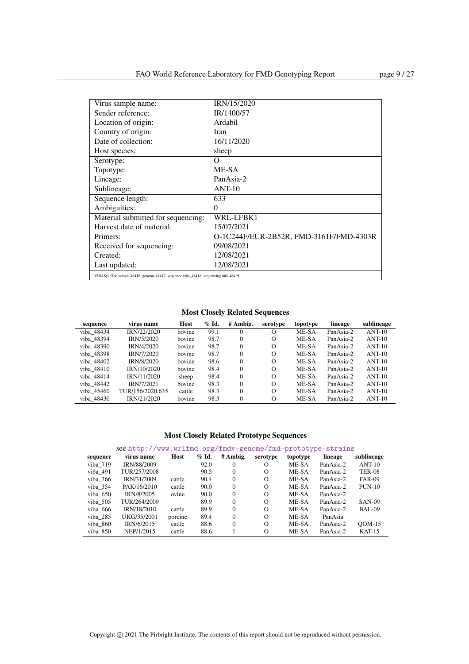| Virus sample name:                                                                  | IRN/15/2020                             |
|-------------------------------------------------------------------------------------|-----------------------------------------|
| Sender reference:                                                                   | IR/1400/57                              |
| Location of origin:                                                                 | Ardabil                                 |
| Country of origin:                                                                  | Iran                                    |
| Date of collection:                                                                 | 16/11/2020                              |
| Host species:                                                                       | sheep                                   |
| Serotype:                                                                           | Ω                                       |
| Topotype:                                                                           | ME-SA                                   |
| Lineage:                                                                            | PanAsia-2                               |
| Sublineage:                                                                         | $ANT-10$                                |
| Sequence length:                                                                    | 633                                     |
| Ambiguities:                                                                        | $\theta$                                |
| Material submitted for sequencing:                                                  | WRL-LFBK1                               |
| Harvest date of material:                                                           | 15/07/2021                              |
| Primers:                                                                            | O-1C244F/EUR-2B52R, FMD-3161F/FMD-4303R |
| Received for sequencing:                                                            | 09/08/2021                              |
| Created:                                                                            | 12/08/2021                              |
| Last updated:                                                                       | 12/08/2021                              |
| VIBASys IDs: sample 48416, genome 48417, sequence viba 48418, sequencing info 48419 |                                         |

| sequence   | virus name       | Host   | $\%$ Id. | # Ambig. | serotype | topotype | lineage   | sublineage |
|------------|------------------|--------|----------|----------|----------|----------|-----------|------------|
| viba 48434 | IRN/22/2020      | bovine | 99.1     | 0        | $\Omega$ | ME-SA    | PanAsia-2 | $ANT-10$   |
| viba 48394 | IRN/5/2020       | bovine | 98.7     | $\Omega$ | $\Omega$ | ME-SA    | PanAsia-2 | $ANT-10$   |
| viba 48390 | IRN/4/2020       | bovine | 98.7     | $\Omega$ | $\Omega$ | ME-SA    | PanAsia-2 | $ANT-10$   |
| viba 48398 | IRN/7/2020       | bovine | 98.7     | $\Omega$ | $\circ$  | ME-SA    | PanAsia-2 | $ANT-10$   |
| viba 48402 | IRN/8/2020       | bovine | 98.6     | $\Omega$ | $\Omega$ | ME-SA    | PanAsia-2 | $ANT-10$   |
| viba 48410 | IRN/10/2020      | bovine | 98.4     | $\Omega$ | $\Omega$ | ME-SA    | PanAsia-2 | $ANT-10$   |
| viba 48414 | IRN/11/2020      | sheep  | 98.4     | $\Omega$ | $\Omega$ | ME-SA    | PanAsia-2 | $ANT-10$   |
| viba 48442 | IRN/7/2021       | bovine | 98.3     | $\Omega$ | $\Omega$ | ME-SA    | PanAsia-2 | $ANT-10$   |
| viba 45460 | TUR/156/2020.635 | cattle | 98.3     | $\Omega$ | $\Omega$ | ME-SA    | PanAsia-2 | $ANT-10$   |
| viba 48430 | IRN/21/2020      | bovine | 98.3     | $\Omega$ | $\Omega$ | ME-SA    | PanAsia-2 | $ANT-10$   |

### Most Closely Related Prototype Sequences

| sequence | virus name   | Host    | $%$ Id. | # Ambig. | serotype | topotype | lineage   | sublineage    |
|----------|--------------|---------|---------|----------|----------|----------|-----------|---------------|
| viba 719 | IRN/88/2009  |         | 92.0    | $^{0}$   | O        | ME-SA    | PanAsia-2 | $ANT-10$      |
| viba 491 | TUR/257/2008 |         | 90.5    | $\Omega$ | $\Omega$ | ME-SA    | PanAsia-2 | <b>TER-08</b> |
| viba 766 | IRN/31/2009  | cattle  | 90.4    | $\Omega$ | $\Omega$ | ME-SA    | PanAsia-2 | <b>FAR-09</b> |
| viba 354 | PAK/16/2010  | cattle  | 90.0    | $\Omega$ | $\Omega$ | ME-SA    | PanAsia-2 | $PUN-10$      |
| viba 650 | IRN/8/2005   | ovine   | 90.0    | $\Omega$ | $\Omega$ | ME-SA    | PanAsia-2 |               |
| viba 505 | TUR/264/2009 |         | 89.9    | $\Omega$ | $\Omega$ | ME-SA    | PanAsia-2 | <b>SAN-09</b> |
| viba 666 | IRN/18/2010  | cattle  | 89.9    | $\Omega$ | $\Omega$ | ME-SA    | PanAsia-2 | BAL-09        |
| viba 285 | UKG/35/2001  | porcine | 89.4    | $\Omega$ | $\Omega$ | ME-SA    | PanAsia   |               |
| viba 860 | IRN/6/2015   | cattle  | 88.6    | $\Omega$ | $\Omega$ | ME-SA    | PanAsia-2 | $OM-15$       |
| viba 850 | NEP/1/2015   | cattle  | 88.6    |          | $\Omega$ | ME-SA    | PanAsia-2 | $KAT-15$      |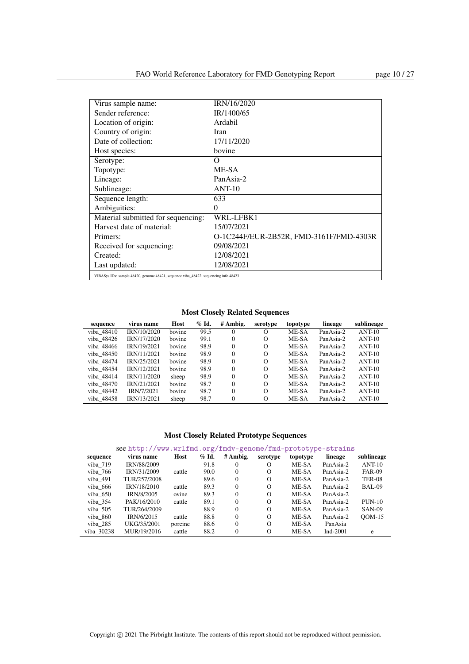| Virus sample name:                                                                  | IRN/16/2020                             |
|-------------------------------------------------------------------------------------|-----------------------------------------|
| Sender reference:                                                                   | IR/1400/65                              |
| Location of origin:                                                                 | Ardabil                                 |
| Country of origin:                                                                  | Iran                                    |
| Date of collection:                                                                 | 17/11/2020                              |
| Host species:                                                                       | bovine                                  |
| Serotype:                                                                           | O                                       |
| Topotype:                                                                           | ME-SA                                   |
| Lineage:                                                                            | PanAsia-2                               |
| Sublineage:                                                                         | $ANT-10$                                |
| Sequence length:                                                                    | 633                                     |
| Ambiguities:                                                                        | 0                                       |
| Material submitted for sequencing:                                                  | WRL-LFBK1                               |
| Harvest date of material:                                                           | 15/07/2021                              |
| Primers:                                                                            | O-1C244F/EUR-2B52R, FMD-3161F/FMD-4303R |
| Received for sequencing:                                                            | 09/08/2021                              |
| Created:                                                                            | 12/08/2021                              |
| Last updated:                                                                       | 12/08/2021                              |
| VIBASys IDs: sample 48420, genome 48421, sequence viba_48422, sequencing info 48423 |                                         |

Most Closely Related Sequences

| sequence   | virus name  | Host   | $%$ Id. | # Ambig. | serotype | topotype | lineage   | sublineage |
|------------|-------------|--------|---------|----------|----------|----------|-----------|------------|
| viba 48410 | IRN/10/2020 | bovine | 99.5    | 0        | $\Omega$ | ME-SA    | PanAsia-2 | $ANT-10$   |
| viba 48426 | IRN/17/2020 | bovine | 99.1    | $\Omega$ | $\Omega$ | ME-SA    | PanAsia-2 | $ANT-10$   |
| viba 48466 | IRN/19/2021 | bovine | 98.9    | $\Omega$ | $\Omega$ | ME-SA    | PanAsia-2 | $ANT-10$   |
| viba 48450 | IRN/11/2021 | bovine | 98.9    | $\Omega$ | $\Omega$ | ME-SA    | PanAsia-2 | $ANT-10$   |
| viba 48474 | IRN/25/2021 | bovine | 98.9    | $\Omega$ | $\Omega$ | ME-SA    | PanAsia-2 | $ANT-10$   |
| viba 48454 | IRN/12/2021 | bovine | 98.9    | $\Omega$ | $\Omega$ | ME-SA    | PanAsia-2 | $ANT-10$   |
| viba 48414 | IRN/11/2020 | sheep  | 98.9    | $\Omega$ | $\Omega$ | ME-SA    | PanAsia-2 | $ANT-10$   |
| viba 48470 | IRN/21/2021 | bovine | 98.7    | $\Omega$ | $\Omega$ | ME-SA    | PanAsia-2 | $ANT-10$   |
| viba 48442 | IRN/7/2021  | bovine | 98.7    | $\Omega$ | $\Omega$ | ME-SA    | PanAsia-2 | $ANT-10$   |
| viba 48458 | IRN/13/2021 | sheep  | 98.7    | $\Omega$ | $\Omega$ | ME-SA    | PanAsia-2 | $ANT-10$   |

| 'nΔ | virus name                                                  | Host | % Id #Ambig serotyne tonotyne |  | lineage | - 611 |
|-----|-------------------------------------------------------------|------|-------------------------------|--|---------|-------|
|     | see http://www.wrlfmd.org/fmdv-genome/fmd-prototype-strains |      |                               |  |         |       |

| sequence   | virus name   | Host    | $\%$ Id. | # Ambig. | serotype | topotype | lineage     | sublineage    |
|------------|--------------|---------|----------|----------|----------|----------|-------------|---------------|
| viba 719   | IRN/88/2009  |         | 91.8     | $\Omega$ | O        | ME-SA    | PanAsia-2   | $ANT-10$      |
| viba 766   | IRN/31/2009  | cattle  | 90.0     | $\Omega$ | $\Omega$ | ME-SA    | PanAsia-2   | <b>FAR-09</b> |
| viba 491   | TUR/257/2008 |         | 89.6     | $\Omega$ | $\Omega$ | ME-SA    | PanAsia-2   | <b>TER-08</b> |
| viba 666   | IRN/18/2010  | cattle  | 89.3     | $\Omega$ | $\Omega$ | ME-SA    | PanAsia-2   | BAL-09        |
| viba 650   | IRN/8/2005   | ovine   | 89.3     | $\Omega$ | $\Omega$ | ME-SA    | PanAsia-2   |               |
| viba 354   | PAK/16/2010  | cattle  | 89.1     | $\Omega$ | $\Omega$ | ME-SA    | PanAsia-2   | $PUN-10$      |
| viba 505   | TUR/264/2009 |         | 88.9     | $\Omega$ | $\Omega$ | ME-SA    | PanAsia-2   | <b>SAN-09</b> |
| viba 860   | IRN/6/2015   | cattle  | 88.8     | $\Omega$ | $\Omega$ | ME-SA    | PanAsia-2   | $OM-15$       |
| viba 285   | UKG/35/2001  | porcine | 88.6     | $\Omega$ | $\Omega$ | ME-SA    | PanAsia     |               |
| viba 30238 | MUR/19/2016  | cattle  | 88.2     | $\Omega$ | $\Omega$ | ME-SA    | Ind- $2001$ | e             |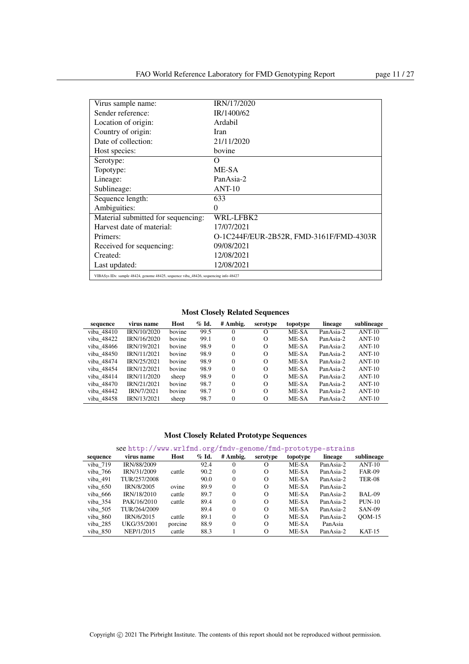| Virus sample name:                                                                  | IRN/17/2020                             |
|-------------------------------------------------------------------------------------|-----------------------------------------|
| Sender reference:                                                                   | IR/1400/62                              |
| Location of origin:                                                                 | Ardabil                                 |
| Country of origin:                                                                  | Iran                                    |
| Date of collection:                                                                 | 21/11/2020                              |
| Host species:                                                                       | bovine                                  |
| Serotype:                                                                           | Ω                                       |
| Topotype:                                                                           | ME-SA                                   |
| Lineage:                                                                            | PanAsia-2                               |
| Sublineage:                                                                         | $ANT-10$                                |
| Sequence length:                                                                    | 633                                     |
| Ambiguities:                                                                        | $\theta$                                |
| Material submitted for sequencing:                                                  | WRL-LFBK2                               |
| Harvest date of material:                                                           | 17/07/2021                              |
| Primers:                                                                            | O-1C244F/EUR-2B52R, FMD-3161F/FMD-4303R |
| Received for sequencing:                                                            | 09/08/2021                              |
| Created:                                                                            | 12/08/2021                              |
| Last updated:                                                                       | 12/08/2021                              |
| VIBASys IDs: sample 48424, genome 48425, sequence viba 48426, sequencing info 48427 |                                         |

Most Closely Related Sequences

| sequence   | virus name  | Host   | $\%$ Id. | # Ambig. | serotype | topotype | lineage   | sublineage |
|------------|-------------|--------|----------|----------|----------|----------|-----------|------------|
| viba 48410 | IRN/10/2020 | bovine | 99.5     | $\theta$ | $\Omega$ | ME-SA    | PanAsia-2 | $ANT-10$   |
| viba 48422 | IRN/16/2020 | bovine | 99.1     | $\Omega$ | $\Omega$ | ME-SA    | PanAsia-2 | $ANT-10$   |
| viba 48466 | IRN/19/2021 | bovine | 98.9     | $\Omega$ | $\Omega$ | ME-SA    | PanAsia-2 | $ANT-10$   |
| viba 48450 | IRN/11/2021 | bovine | 98.9     | $\Omega$ | $\Omega$ | ME-SA    | PanAsia-2 | $ANT-10$   |
| viba 48474 | IRN/25/2021 | bovine | 98.9     | $\Omega$ | $\Omega$ | ME-SA    | PanAsia-2 | $ANT-10$   |
| viba 48454 | IRN/12/2021 | bovine | 98.9     | $\Omega$ | $\Omega$ | ME-SA    | PanAsia-2 | $ANT-10$   |
| viba 48414 | IRN/11/2020 | sheep  | 98.9     | $\Omega$ | $\Omega$ | ME-SA    | PanAsia-2 | $ANT-10$   |
| viba 48470 | IRN/21/2021 | bovine | 98.7     | $\Omega$ | $\Omega$ | ME-SA    | PanAsia-2 | $ANT-10$   |
| viba 48442 | IRN/7/2021  | bovine | 98.7     | $\Omega$ | $\Omega$ | ME-SA    | PanAsia-2 | $ANT-10$   |
| viba 48458 | IRN/13/2021 | sheep  | 98.7     | $\Omega$ | $\Omega$ | ME-SA    | PanAsia-2 | $ANT-10$   |

|  |  |  | see http://www.wrlfmd.org/fmdv-genome/fmd-prototype-strains |
|--|--|--|-------------------------------------------------------------|
|--|--|--|-------------------------------------------------------------|

| sequence | virus name   | Host    | $\%$ Id. | # Ambig. | serotype | topotype | lineage   | sublineage    |
|----------|--------------|---------|----------|----------|----------|----------|-----------|---------------|
| viba 719 | IRN/88/2009  |         | 92.4     |          | O        | ME-SA    | PanAsia-2 | $ANT-10$      |
| viba 766 | IRN/31/2009  | cattle  | 90.2     | $\Omega$ | $\Omega$ | ME-SA    | PanAsia-2 | <b>FAR-09</b> |
| viba 491 | TUR/257/2008 |         | 90.0     | $\Omega$ | $\Omega$ | ME-SA    | PanAsia-2 | <b>TER-08</b> |
| viba 650 | IRN/8/2005   | ovine   | 89.9     | $\Omega$ | $\Omega$ | ME-SA    | PanAsia-2 |               |
| viba 666 | IRN/18/2010  | cattle  | 89.7     | $\Omega$ | $\Omega$ | ME-SA    | PanAsia-2 | <b>BAL-09</b> |
| viba 354 | PAK/16/2010  | cattle  | 89.4     | $\Omega$ | $\Omega$ | ME-SA    | PanAsia-2 | $PUN-10$      |
| viba 505 | TUR/264/2009 |         | 89.4     | $\Omega$ | $\Omega$ | ME-SA    | PanAsia-2 | <b>SAN-09</b> |
| viba 860 | IRN/6/2015   | cattle  | 89.1     | $\Omega$ | $\Omega$ | ME-SA    | PanAsia-2 | $OM-15$       |
| viba 285 | UKG/35/2001  | porcine | 88.9     | $\Omega$ | $\Omega$ | ME-SA    | PanAsia   |               |
| viba 850 | NEP/1/2015   | cattle  | 88.3     |          | $\Omega$ | ME-SA    | PanAsia-2 | $KAT-15$      |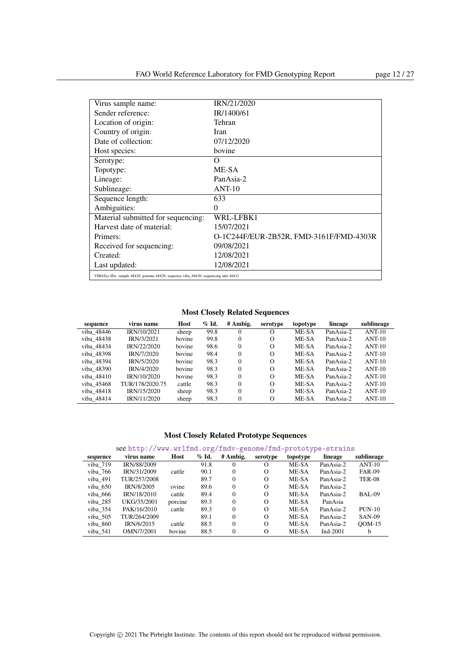| Virus sample name:                                                                  | IRN/21/2020                             |
|-------------------------------------------------------------------------------------|-----------------------------------------|
| Sender reference:                                                                   | IR/1400/61                              |
| Location of origin:                                                                 | Tehran                                  |
| Country of origin:                                                                  | Iran                                    |
| Date of collection:                                                                 | 07/12/2020                              |
| Host species:                                                                       | bovine                                  |
| Serotype:                                                                           | Ω                                       |
| Topotype:                                                                           | ME-SA                                   |
| Lineage:                                                                            | PanAsia-2                               |
| Sublineage:                                                                         | $ANT-10$                                |
| Sequence length:                                                                    | 633                                     |
| Ambiguities:                                                                        | 0                                       |
| Material submitted for sequencing:                                                  | WRL-LFBK1                               |
| Harvest date of material:                                                           | 15/07/2021                              |
| Primers:                                                                            | O-1C244F/EUR-2B52R, FMD-3161F/FMD-4303R |
| Received for sequencing:                                                            | 09/08/2021                              |
| Created:                                                                            | 12/08/2021                              |
| Last updated:                                                                       | 12/08/2021                              |
| VIBASys IDs: sample 48428, genome 48429, sequence viba_48430, sequencing info 48431 |                                         |

| sequence   | virus name      | Host   | $%$ Id. | # Ambig.     | serotype | topotype | lineage   | sublineage |
|------------|-----------------|--------|---------|--------------|----------|----------|-----------|------------|
| viba 48446 | IRN/10/2021     | sheep  | 99.8    | $\Omega$     | $\Omega$ | ME-SA    | PanAsia-2 | $ANT-10$   |
| viba 48438 | IRN/3/2021      | bovine | 99.8    | $\mathbf{0}$ | $\Omega$ | ME-SA    | PanAsia-2 | $ANT-10$   |
| viba 48434 | IRN/22/2020     | hovine | 98.6    | $\Omega$     | $\Omega$ | ME-SA    | PanAsia-2 | $ANT-10$   |
| viba 48398 | IRN/7/2020      | bovine | 98.4    | $\Omega$     | $\Omega$ | ME-SA    | PanAsia-2 | $ANT-10$   |
| viba 48394 | IRN/5/2020      | bovine | 98.3    | $\Omega$     | $\Omega$ | ME-SA    | PanAsia-2 | $ANT-10$   |
| viba 48390 | IRN/4/2020      | bovine | 98.3    | $\mathbf{0}$ | $\Omega$ | ME-SA    | PanAsia-2 | $ANT-10$   |
| viba 48410 | IRN/10/2020     | bovine | 98.3    | $\Omega$     | $\Omega$ | ME-SA    | PanAsia-2 | $ANT-10$   |
| viba 45468 | TUR/178/2020.75 | cattle | 98.3    | $\Omega$     | $\Omega$ | ME-SA    | PanAsia-2 | $ANT-10$   |
| viba 48418 | IRN/15/2020     | sheep  | 98.3    | $\theta$     | $\Omega$ | ME-SA    | PanAsia-2 | $ANT-10$   |
| viba 48414 | IRN/11/2020     | sheep  | 98.3    | $\theta$     | $\Omega$ | ME-SA    | PanAsia-2 | $ANT-10$   |

### Most Closely Related Prototype Sequences

| sequence | virus name   | Host    | $\%$ Id. | # Ambig. | serotype | topotype | lineage     | sublineage    |
|----------|--------------|---------|----------|----------|----------|----------|-------------|---------------|
| viba 719 | IRN/88/2009  |         | 91.8     |          |          | ME-SA    | PanAsia-2   | $ANT-10$      |
| viba 766 | IRN/31/2009  | cattle  | 90.1     | 0        | $\Omega$ | ME-SA    | PanAsia-2   | <b>FAR-09</b> |
| viba 491 | TUR/257/2008 |         | 89.7     | 0        | $\Omega$ | ME-SA    | PanAsia-2   | <b>TER-08</b> |
| viba 650 | IRN/8/2005   | ovine   | 89.6     | 0        | $\Omega$ | ME-SA    | PanAsia-2   |               |
| viba 666 | IRN/18/2010  | cattle  | 89.4     | 0        | $\Omega$ | ME-SA    | PanAsia-2   | BAL-09        |
| viba 285 | UKG/35/2001  | porcine | 89.3     | 0        | $\Omega$ | ME-SA    | PanAsia     |               |
| viba 354 | PAK/16/2010  | cattle  | 89.3     | 0        | $\Omega$ | ME-SA    | PanAsia-2   | $PUN-10$      |
| viba 505 | TUR/264/2009 |         | 89.1     | 0        | $\Omega$ | ME-SA    | PanAsia-2   | <b>SAN-09</b> |
| viba 860 | IRN/6/2015   | cattle  | 88.5     | 0        | $\Omega$ | ME-SA    | PanAsia-2   | $ODM-15$      |
| viba 541 | OMN/7/2001   | bovine  | 88.5     | 0        | $\Omega$ | ME-SA    | Ind- $2001$ | <sub>b</sub>  |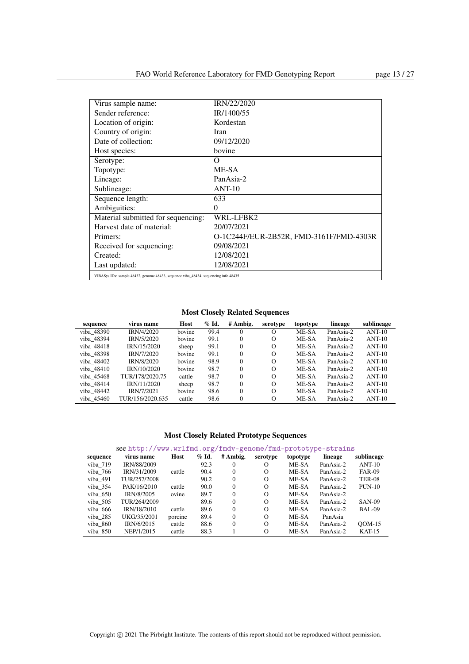| Virus sample name:                                                                  | IRN/22/2020                             |
|-------------------------------------------------------------------------------------|-----------------------------------------|
| Sender reference:                                                                   | IR/1400/55                              |
| Location of origin:                                                                 | Kordestan                               |
| Country of origin:                                                                  | Iran                                    |
| Date of collection:                                                                 | 09/12/2020                              |
| Host species:                                                                       | bovine                                  |
| Serotype:                                                                           | Ω                                       |
| Topotype:                                                                           | ME-SA                                   |
| Lineage:                                                                            | PanAsia-2                               |
| Sublineage:                                                                         | $ANT-10$                                |
| Sequence length:                                                                    | 633                                     |
| Ambiguities:                                                                        | $\theta$                                |
| Material submitted for sequencing:                                                  | WRL-LFBK2                               |
| Harvest date of material:                                                           | 20/07/2021                              |
| Primers:                                                                            | O-1C244F/EUR-2B52R, FMD-3161F/FMD-4303R |
| Received for sequencing:                                                            | 09/08/2021                              |
| Created:                                                                            | 12/08/2021                              |
| Last updated:                                                                       | 12/08/2021                              |
| VIBASys IDs: sample 48432, genome 48433, sequence viba 48434, sequencing info 48435 |                                         |

| sequence   | virus name        | Host   | $\%$ Id. | # Ambig. | serotype | topotype | lineage   | sublineage |
|------------|-------------------|--------|----------|----------|----------|----------|-----------|------------|
| viba 48390 | <b>IRN/4/2020</b> | bovine | 99.4     | 0        | O        | ME-SA    | PanAsia-2 | $ANT-10$   |
| viba 48394 | IRN/5/2020        | bovine | 99.1     | $\Omega$ | $\Omega$ | ME-SA    | PanAsia-2 | $ANT-10$   |
| viba 48418 | IRN/15/2020       | sheep  | 99.1     | $\Omega$ | $\Omega$ | ME-SA    | PanAsia-2 | $ANT-10$   |
| viba 48398 | IRN/7/2020        | bovine | 99.1     | $\Omega$ | $\Omega$ | ME-SA    | PanAsia-2 | $ANT-10$   |
| viba 48402 | <b>IRN/8/2020</b> | bovine | 98.9     | $\Omega$ | $\Omega$ | ME-SA    | PanAsia-2 | $ANT-10$   |
| viba 48410 | IRN/10/2020       | bovine | 98.7     | $\Omega$ | $\Omega$ | ME-SA    | PanAsia-2 | $ANT-10$   |
| viba 45468 | TUR/178/2020.75   | cattle | 98.7     | $\Omega$ | $\Omega$ | ME-SA    | PanAsia-2 | $ANT-10$   |
| viba 48414 | IRN/11/2020       | sheep  | 98.7     | $\Omega$ | $\Omega$ | ME-SA    | PanAsia-2 | $ANT-10$   |
| viba 48442 | IRN/7/2021        | bovine | 98.6     | $\Omega$ | $\Omega$ | ME-SA    | PanAsia-2 | $ANT-10$   |
| viba 45460 | TUR/156/2020.635  | cattle | 98.6     | 0        | $\Omega$ | ME-SA    | PanAsia-2 | $ANT-10$   |

### Most Closely Related Prototype Sequences

| sequence | virus name   | Host    | $%$ Id. | # Ambig. | serotype | topotype | lineage   | sublineage    |
|----------|--------------|---------|---------|----------|----------|----------|-----------|---------------|
| viba 719 | IRN/88/2009  |         | 92.3    | $^{0}$   | O        | ME-SA    | PanAsia-2 | $ANT-10$      |
| viba 766 | IRN/31/2009  | cattle  | 90.4    | $\Omega$ | $\Omega$ | ME-SA    | PanAsia-2 | <b>FAR-09</b> |
| viba 491 | TUR/257/2008 |         | 90.2    | $^{0}$   | $\Omega$ | ME-SA    | PanAsia-2 | <b>TER-08</b> |
| viba 354 | PAK/16/2010  | cattle  | 90.0    | $\Omega$ | $\Omega$ | ME-SA    | PanAsia-2 | $PUN-10$      |
| viba 650 | IRN/8/2005   | ovine   | 89.7    | $\Omega$ | $\Omega$ | ME-SA    | PanAsia-2 |               |
| viba 505 | TUR/264/2009 |         | 89.6    | $\Omega$ | $\Omega$ | ME-SA    | PanAsia-2 | <b>SAN-09</b> |
| viba 666 | IRN/18/2010  | cattle  | 89.6    | $\Omega$ | $\Omega$ | ME-SA    | PanAsia-2 | BAL-09        |
| viba 285 | UKG/35/2001  | porcine | 89.4    | $\Omega$ | $\Omega$ | ME-SA    | PanAsia   |               |
| viba 860 | IRN/6/2015   | cattle  | 88.6    | $\Omega$ | $\Omega$ | ME-SA    | PanAsia-2 | $OM-15$       |
| viba 850 | NEP/1/2015   | cattle  | 88.3    |          | $\Omega$ | ME-SA    | PanAsia-2 | $KAT-15$      |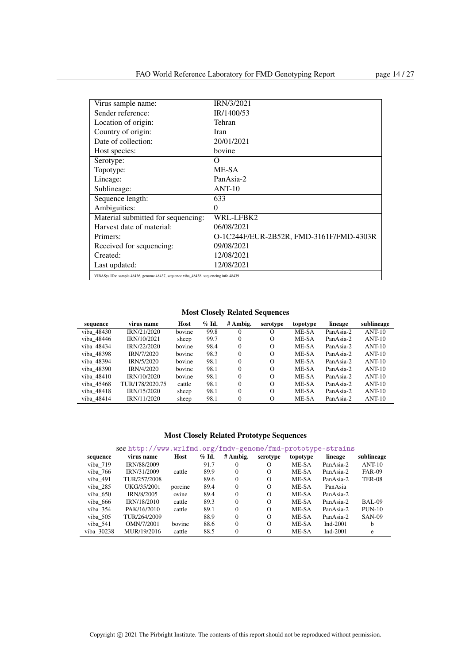| Virus sample name:                                                                  | IRN/3/2021                              |
|-------------------------------------------------------------------------------------|-----------------------------------------|
| Sender reference:                                                                   | IR/1400/53                              |
| Location of origin:                                                                 | Tehran                                  |
| Country of origin:                                                                  | Iran                                    |
| Date of collection:                                                                 | 20/01/2021                              |
| Host species:                                                                       | bovine                                  |
| Serotype:                                                                           | Ω                                       |
| Topotype:                                                                           | ME-SA                                   |
| Lineage:                                                                            | PanAsia-2                               |
| Sublineage:                                                                         | $ANT-10$                                |
| Sequence length:                                                                    | 633                                     |
| Ambiguities:                                                                        | $\theta$                                |
| Material submitted for sequencing:                                                  | WRL-LFBK2                               |
| Harvest date of material:                                                           | 06/08/2021                              |
| Primers:                                                                            | O-1C244F/EUR-2B52R, FMD-3161F/FMD-4303R |
| Received for sequencing:                                                            | 09/08/2021                              |
| Created:                                                                            | 12/08/2021                              |
| Last updated:                                                                       | 12/08/2021                              |
| VIBASys IDs: sample 48436, genome 48437, sequence viba_48438, sequencing info 48439 |                                         |

| sequence   | virus name      | Host   | $\%$ Id. | # Ambig. | serotype | topotype | lineage   | sublineage |
|------------|-----------------|--------|----------|----------|----------|----------|-----------|------------|
| viba 48430 | IRN/21/2020     | bovine | 99.8     | 0        | О        | ME-SA    | PanAsia-2 | $ANT-10$   |
| viba 48446 | IRN/10/2021     | sheep  | 99.7     | 0        | $\Omega$ | ME-SA    | PanAsia-2 | $ANT-10$   |
| viba 48434 | IRN/22/2020     | bovine | 98.4     | $\Omega$ | $\Omega$ | ME-SA    | PanAsia-2 | $ANT-10$   |
| viba 48398 | IRN/7/2020      | bovine | 98.3     | $\Omega$ | $\Omega$ | ME-SA    | PanAsia-2 | $ANT-10$   |
| viba 48394 | IRN/5/2020      | bovine | 98.1     | $\Omega$ | $\Omega$ | ME-SA    | PanAsia-2 | $ANT-10$   |
| viba 48390 | IRN/4/2020      | bovine | 98.1     | $\Omega$ | $\Omega$ | ME-SA    | PanAsia-2 | $ANT-10$   |
| viba 48410 | IRN/10/2020     | bovine | 98.1     | $\Omega$ | $\Omega$ | ME-SA    | PanAsia-2 | $ANT-10$   |
| viba 45468 | TUR/178/2020.75 | cattle | 98.1     | $\Omega$ | $\Omega$ | ME-SA    | PanAsia-2 | $ANT-10$   |
| viba 48418 | IRN/15/2020     | sheep  | 98.1     | $\Omega$ | $\Omega$ | ME-SA    | PanAsia-2 | $ANT-10$   |
| viba 48414 | IRN/11/2020     | sheep  | 98.1     | $\theta$ | Ω        | ME-SA    | PanAsia-2 | $ANT-10$   |

### Most Closely Related Prototype Sequences

| sequence   | virus name   | Host    | $\%$ Id. | # Ambig. | serotype | topotype | lineage     | sublineage    |
|------------|--------------|---------|----------|----------|----------|----------|-------------|---------------|
| viba 719   | IRN/88/2009  |         | 91.7     | $\Omega$ | О        | ME-SA    | PanAsia-2   | $ANT-10$      |
| viba 766   | IRN/31/2009  | cattle  | 89.9     | $\Omega$ | $\Omega$ | ME-SA    | PanAsia-2   | <b>FAR-09</b> |
| viba 491   | TUR/257/2008 |         | 89.6     | $\Omega$ | $\Omega$ | ME-SA    | PanAsia-2   | <b>TER-08</b> |
| viba 285   | UKG/35/2001  | porcine | 89.4     | $\Omega$ | $\Omega$ | ME-SA    | PanAsia     |               |
| viba 650   | IRN/8/2005   | ovine   | 89.4     | $\Omega$ | $\Omega$ | ME-SA    | PanAsia-2   |               |
| viba 666   | IRN/18/2010  | cattle  | 89.3     | $\Omega$ | $\Omega$ | ME-SA    | PanAsia-2   | <b>BAL-09</b> |
| viba 354   | PAK/16/2010  | cattle  | 89.1     | $\Omega$ | $\Omega$ | ME-SA    | PanAsia-2   | $PUN-10$      |
| viba 505   | TUR/264/2009 |         | 88.9     | $\Omega$ | $\Omega$ | ME-SA    | PanAsia-2   | <b>SAN-09</b> |
| viba $541$ | OMN/7/2001   | bovine  | 88.6     | $\Omega$ | $\Omega$ | ME-SA    | Ind- $2001$ | b             |
| viba 30238 | MUR/19/2016  | cattle  | 88.5     | $\Omega$ | $\Omega$ | ME-SA    | Ind- $2001$ | e             |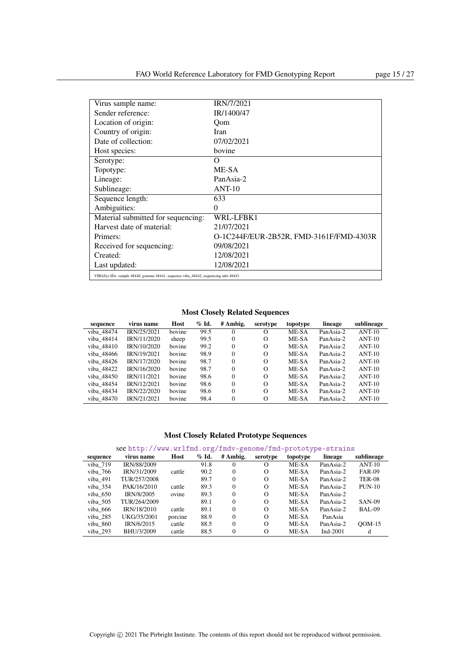| Virus sample name:                                                                  | <b>IRN/7/2021</b>                       |
|-------------------------------------------------------------------------------------|-----------------------------------------|
| Sender reference:                                                                   | IR/1400/47                              |
| Location of origin:                                                                 | Oom                                     |
| Country of origin:                                                                  | Iran                                    |
| Date of collection:                                                                 | 07/02/2021                              |
| Host species:                                                                       | bovine                                  |
| Serotype:                                                                           | O                                       |
| Topotype:                                                                           | ME-SA                                   |
| Lineage:                                                                            | PanAsia-2                               |
| Sublineage:                                                                         | $ANT-10$                                |
| Sequence length:                                                                    | 633                                     |
| Ambiguities:                                                                        | 0                                       |
| Material submitted for sequencing:                                                  | WRL-LFBK1                               |
| Harvest date of material:                                                           | 21/07/2021                              |
| Primers:                                                                            | O-1C244F/EUR-2B52R, FMD-3161F/FMD-4303R |
| Received for sequencing:                                                            | 09/08/2021                              |
| Created:                                                                            | 12/08/2021                              |
| Last updated:                                                                       | 12/08/2021                              |
| VIBASys IDs: sample 48440, genome 48441, sequence viba_48442, sequencing info 48443 |                                         |

Most Closely Related Sequences

| sequence   | virus name  | Host   | $%$ Id. | # Ambig. | serotype | topotype | lineage   | sublineage |
|------------|-------------|--------|---------|----------|----------|----------|-----------|------------|
| viba 48474 | IRN/25/2021 | bovine | 99.5    | $\Omega$ | $\Omega$ | ME-SA    | PanAsia-2 | $ANT-10$   |
| viba 48414 | IRN/11/2020 | sheep  | 99.5    | $\Omega$ | $\Omega$ | ME-SA    | PanAsia-2 | $ANT-10$   |
| viba 48410 | IRN/10/2020 | bovine | 99.2    | $\Omega$ | $\Omega$ | ME-SA    | PanAsia-2 | $ANT-10$   |
| viba 48466 | IRN/19/2021 | bovine | 98.9    | $\Omega$ | $\Omega$ | ME-SA    | PanAsia-2 | $ANT-10$   |
| viba 48426 | IRN/17/2020 | bovine | 98.7    | $\Omega$ | $\Omega$ | ME-SA    | PanAsia-2 | $ANT-10$   |
| viba 48422 | IRN/16/2020 | bovine | 98.7    | $\Omega$ | $\Omega$ | ME-SA    | PanAsia-2 | $ANT-10$   |
| viba 48450 | IRN/11/2021 | bovine | 98.6    | $\Omega$ | $\Omega$ | ME-SA    | PanAsia-2 | $ANT-10$   |
| viba 48454 | IRN/12/2021 | bovine | 98.6    | $\Omega$ | $\Omega$ | ME-SA    | PanAsia-2 | $ANT-10$   |
| viba 48434 | IRN/22/2020 | bovine | 98.6    | $\Omega$ | $\Omega$ | ME-SA    | PanAsia-2 | $ANT-10$   |
| viba 48470 | IRN/21/2021 | bovine | 98.4    | $\Omega$ | $\Omega$ | ME-SA    | PanAsia-2 | $ANT-10$   |

| sequence | virus name   | Host    | $\%$ Id. | # Ambig. | serotype | topotype | lineage     | sublineage    |
|----------|--------------|---------|----------|----------|----------|----------|-------------|---------------|
| viba 719 | IRN/88/2009  |         | 91.8     |          |          | ME-SA    | PanAsia-2   | $ANT-10$      |
| viba 766 | IRN/31/2009  | cattle  | 90.2     | 0        | $\Omega$ | ME-SA    | PanAsia-2   | <b>FAR-09</b> |
| viba 491 | TUR/257/2008 |         | 89.7     | 0        | $\Omega$ | ME-SA    | PanAsia-2   | <b>TER-08</b> |
| viba 354 | PAK/16/2010  | cattle  | 89.3     | 0        | $\Omega$ | ME-SA    | PanAsia-2   | $PUN-10$      |
| viba 650 | IRN/8/2005   | ovine   | 89.3     | 0        | $\Omega$ | ME-SA    | PanAsia-2   |               |
| viba 505 | TUR/264/2009 |         | 89.1     | 0        | $\Omega$ | ME-SA    | PanAsia-2   | <b>SAN-09</b> |
| viba 666 | IRN/18/2010  | cattle  | 89.1     | 0        | $\Omega$ | ME-SA    | PanAsia-2   | BAL-09        |
| viba 285 | UKG/35/2001  | porcine | 88.9     | 0        | $\Omega$ | ME-SA    | PanAsia     |               |
| viba 860 | IRN/6/2015   | cattle  | 88.5     | 0        | $\Omega$ | ME-SA    | PanAsia-2   | $OM-15$       |
| viba 293 | BHU/3/2009   | cattle  | 88.5     | 0        | $\Omega$ | ME-SA    | Ind- $2001$ | d             |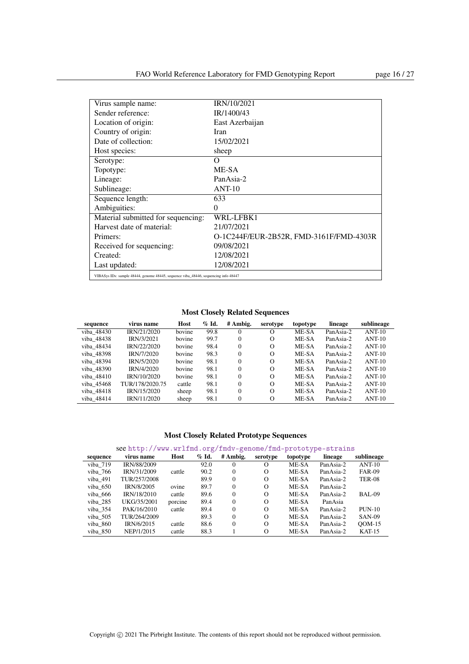| Virus sample name:                                                                  | IRN/10/2021                             |
|-------------------------------------------------------------------------------------|-----------------------------------------|
| Sender reference:                                                                   | IR/1400/43                              |
| Location of origin:                                                                 | East Azerbaijan                         |
| Country of origin:                                                                  | Iran                                    |
| Date of collection:                                                                 | 15/02/2021                              |
| Host species:                                                                       | sheep                                   |
| Serotype:                                                                           | Ω                                       |
| Topotype:                                                                           | ME-SA                                   |
| Lineage:                                                                            | PanAsia-2                               |
| Sublineage:                                                                         | $ANT-10$                                |
| Sequence length:                                                                    | 633                                     |
| Ambiguities:                                                                        | 0                                       |
| Material submitted for sequencing:                                                  | WRL-LFBK1                               |
| Harvest date of material:                                                           | 21/07/2021                              |
| Primers:                                                                            | O-1C244F/EUR-2B52R, FMD-3161F/FMD-4303R |
| Received for sequencing:                                                            | 09/08/2021                              |
| Created:                                                                            | 12/08/2021                              |
| Last updated:                                                                       | 12/08/2021                              |
| VIBASys IDs: sample 48444, genome 48445, sequence viba_48446, sequencing info 48447 |                                         |

| sequence   | virus name      | Host   | $\%$ Id. | # Ambig.     | serotype | topotype | lineage   | sublineage |
|------------|-----------------|--------|----------|--------------|----------|----------|-----------|------------|
| viba_48430 | IRN/21/2020     | bovine | 99.8     | 0            | $\Omega$ | ME-SA    | PanAsia-2 | $ANT-10$   |
| viba 48438 | IRN/3/2021      | bovine | 99.7     | 0            | $\Omega$ | ME-SA    | PanAsia-2 | $ANT-10$   |
| viba 48434 | IRN/22/2020     | hovine | 98.4     | $\Omega$     | $\Omega$ | ME-SA    | PanAsia-2 | $ANT-10$   |
| viba 48398 | IRN/7/2020      | bovine | 98.3     | $\Omega$     | $\Omega$ | ME-SA    | PanAsia-2 | $ANT-10$   |
| viba 48394 | IRN/5/2020      | bovine | 98.1     | 0            | $\Omega$ | ME-SA    | PanAsia-2 | $ANT-10$   |
| viba 48390 | IRN/4/2020      | bovine | 98.1     | $\mathbf{0}$ | $\Omega$ | ME-SA    | PanAsia-2 | $ANT-10$   |
| viba 48410 | IRN/10/2020     | bovine | 98.1     | $\Omega$     | $\Omega$ | ME-SA    | PanAsia-2 | $ANT-10$   |
| viba 45468 | TUR/178/2020.75 | cattle | 98.1     | $\Omega$     | $\Omega$ | ME-SA    | PanAsia-2 | $ANT-10$   |
| viba 48418 | IRN/15/2020     | sheep  | 98.1     | $\Omega$     | $\Omega$ | ME-SA    | PanAsia-2 | $ANT-10$   |
| viba 48414 | IRN/11/2020     | sheep  | 98.1     | $\theta$     | $\Omega$ | ME-SA    | PanAsia-2 | $ANT-10$   |

### Most Closely Related Prototype Sequences

| sequence | virus name   | Host    | $%$ Id. | # Ambig. | serotype | topotype | lineage   | sublineage    |
|----------|--------------|---------|---------|----------|----------|----------|-----------|---------------|
| viba 719 | IRN/88/2009  |         | 92.0    | $^{0}$   | O        | ME-SA    | PanAsia-2 | $ANT-10$      |
| viba 766 | IRN/31/2009  | cattle  | 90.2    | $\Omega$ | $\Omega$ | ME-SA    | PanAsia-2 | <b>FAR-09</b> |
| viba 491 | TUR/257/2008 |         | 89.9    | $\Omega$ | $\Omega$ | ME-SA    | PanAsia-2 | <b>TER-08</b> |
| viba 650 | IRN/8/2005   | ovine   | 89.7    | $\Omega$ | $\Omega$ | ME-SA    | PanAsia-2 |               |
| viba 666 | IRN/18/2010  | cattle  | 89.6    | $\Omega$ | $\Omega$ | ME-SA    | PanAsia-2 | <b>BAL-09</b> |
| viba 285 | UKG/35/2001  | porcine | 89.4    | $\Omega$ | $\Omega$ | ME-SA    | PanAsia   |               |
| viba 354 | PAK/16/2010  | cattle  | 89.4    | $\Omega$ | $\Omega$ | ME-SA    | PanAsia-2 | $PUN-10$      |
| viba 505 | TUR/264/2009 |         | 89.3    | $\Omega$ | $\Omega$ | ME-SA    | PanAsia-2 | <b>SAN-09</b> |
| viba 860 | IRN/6/2015   | cattle  | 88.6    | $\Omega$ | $\Omega$ | ME-SA    | PanAsia-2 | $OM-15$       |
| viba 850 | NEP/1/2015   | cattle  | 88.3    |          | $\Omega$ | ME-SA    | PanAsia-2 | $KAT-15$      |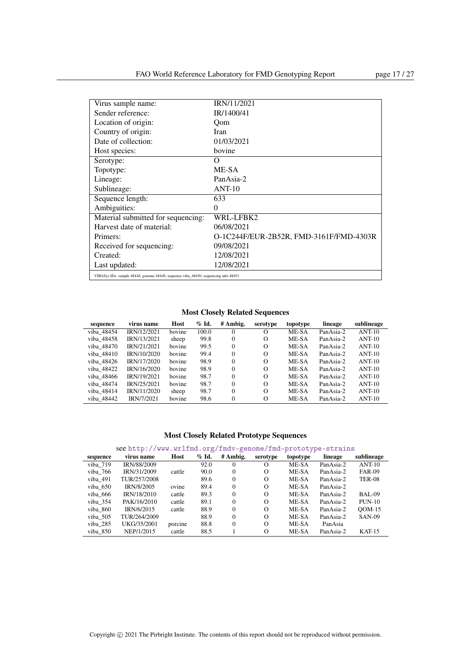| Virus sample name:                                                                  | IRN/11/2021                             |
|-------------------------------------------------------------------------------------|-----------------------------------------|
| Sender reference:                                                                   | IR/1400/41                              |
| Location of origin:                                                                 | Oom                                     |
| Country of origin:                                                                  | Iran                                    |
| Date of collection:                                                                 | 01/03/2021                              |
| Host species:                                                                       | bovine                                  |
| Serotype:                                                                           | O                                       |
| Topotype:                                                                           | ME-SA                                   |
| Lineage:                                                                            | PanAsia-2                               |
| Sublineage:                                                                         | $ANT-10$                                |
| Sequence length:                                                                    | 633                                     |
| Ambiguities:                                                                        | 0                                       |
| Material submitted for sequencing:                                                  | WRL-LFBK2                               |
| Harvest date of material:                                                           | 06/08/2021                              |
| Primers:                                                                            | O-1C244F/EUR-2B52R, FMD-3161F/FMD-4303R |
| Received for sequencing:                                                            | 09/08/2021                              |
| Created:                                                                            | 12/08/2021                              |
| Last updated:                                                                       | 12/08/2021                              |
| VIBASys IDs: sample 48448, genome 48449, sequence viba_48450, sequencing info 48451 |                                         |

Most Closely Related Sequences

| sequence   | virus name  | Host   | $\%$ Id. | # Ambig. | serotype | topotype | lineage   | sublineage |
|------------|-------------|--------|----------|----------|----------|----------|-----------|------------|
| viba 48454 | IRN/12/2021 | bovine | 100.0    | $\theta$ | O        | ME-SA    | PanAsia-2 | $ANT-10$   |
| viba 48458 | IRN/13/2021 | sheep  | 99.8     | $\Omega$ | $\Omega$ | ME-SA    | PanAsia-2 | $ANT-10$   |
| viba 48470 | IRN/21/2021 | bovine | 99.5     | $\Omega$ | $\Omega$ | ME-SA    | PanAsia-2 | $ANT-10$   |
| viba 48410 | IRN/10/2020 | bovine | 99.4     | $\Omega$ | $\Omega$ | ME-SA    | PanAsia-2 | $ANT-10$   |
| viba 48426 | IRN/17/2020 | bovine | 98.9     | $\Omega$ | $\Omega$ | ME-SA    | PanAsia-2 | $ANT-10$   |
| viba 48422 | IRN/16/2020 | bovine | 98.9     | $\Omega$ | $\Omega$ | ME-SA    | PanAsia-2 | $ANT-10$   |
| viba 48466 | IRN/19/2021 | bovine | 98.7     | $\Omega$ | $\Omega$ | ME-SA    | PanAsia-2 | $ANT-10$   |
| viba 48474 | IRN/25/2021 | bovine | 98.7     | $\Omega$ | $\Omega$ | ME-SA    | PanAsia-2 | $ANT-10$   |
| viba 48414 | IRN/11/2020 | sheep  | 98.7     | $\Omega$ | $\Omega$ | ME-SA    | PanAsia-2 | $ANT-10$   |
| viba 48442 | IRN/7/2021  | bovine | 98.6     | $\Omega$ | $\Omega$ | ME-SA    | PanAsia-2 | $ANT-10$   |

| sequence   | virus name        | Host    | $\%$ Id. | # Ambig. | serotype | topotype | lineage   | sublineage    |
|------------|-------------------|---------|----------|----------|----------|----------|-----------|---------------|
| viba 719   | IRN/88/2009       |         | 92.0     |          | O        | ME-SA    | PanAsia-2 | $ANT-10$      |
| viba 766   | IRN/31/2009       | cattle  | 90.0     | 0        | $\Omega$ | ME-SA    | PanAsia-2 | <b>FAR-09</b> |
| viba 491   | TUR/257/2008      |         | 89.6     | $\Omega$ | $\Omega$ | ME-SA    | PanAsia-2 | <b>TER-08</b> |
| viba 650   | <b>IRN/8/2005</b> | ovine   | 89.4     | $\Omega$ | $\Omega$ | ME-SA    | PanAsia-2 |               |
| viba 666   | IRN/18/2010       | cattle  | 89.3     | 0        | $\Omega$ | ME-SA    | PanAsia-2 | BAL-09        |
| viba $354$ | PAK/16/2010       | cattle  | 89.1     | 0        | $\Omega$ | ME-SA    | PanAsia-2 | $PUN-10$      |
| viba 860   | IRN/6/2015        | cattle  | 88.9     | $\Omega$ | $\Omega$ | ME-SA    | PanAsia-2 | $ODM-15$      |
| viba 505   | TUR/264/2009      |         | 88.9     | $\Omega$ | $\Omega$ | ME-SA    | PanAsia-2 | <b>SAN-09</b> |
| viba 285   | UKG/35/2001       | porcine | 88.8     | 0        | $\Omega$ | ME-SA    | PanAsia   |               |
| viba 850   | NEP/1/2015        | cattle  | 88.5     |          | $\Omega$ | ME-SA    | PanAsia-2 | $KAT-15$      |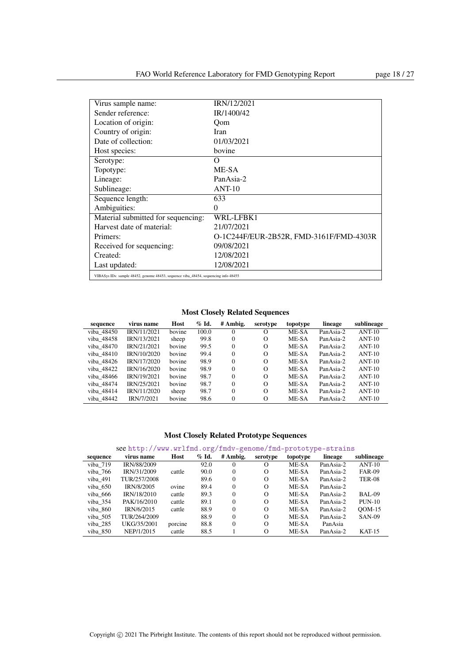| Virus sample name:                                                                  | <b>IRN/12/2021</b>                      |
|-------------------------------------------------------------------------------------|-----------------------------------------|
| Sender reference:                                                                   | IR/1400/42                              |
| Location of origin:                                                                 | Oom                                     |
| Country of origin:                                                                  | Iran                                    |
| Date of collection:                                                                 | 01/03/2021                              |
| Host species:                                                                       | bovine                                  |
| Serotype:                                                                           | Ω                                       |
| Topotype:                                                                           | ME-SA                                   |
| Lineage:                                                                            | PanAsia-2                               |
| Sublineage:                                                                         | $ANT-10$                                |
| Sequence length:                                                                    | 633                                     |
| Ambiguities:                                                                        | $\theta$                                |
| Material submitted for sequencing:                                                  | WRL-LFBK1                               |
| Harvest date of material:                                                           | 21/07/2021                              |
| Primers:                                                                            | O-1C244F/EUR-2B52R, FMD-3161F/FMD-4303R |
| Received for sequencing:                                                            | 09/08/2021                              |
| Created:                                                                            | 12/08/2021                              |
| Last updated:                                                                       | 12/08/2021                              |
| VIBASys IDs: sample 48452, genome 48453, sequence viba_48454, sequencing info 48455 |                                         |

Most Closely Related Sequences

| sequence   | virus name  | Host   | $\%$ Id. | # Ambig. | serotype | topotype | lineage   | sublineage |
|------------|-------------|--------|----------|----------|----------|----------|-----------|------------|
| viba 48450 | IRN/11/2021 | bovine | 100.0    | $\Omega$ | $\Omega$ | ME-SA    | PanAsia-2 | $ANT-10$   |
| viba 48458 | IRN/13/2021 | sheep  | 99.8     | $\Omega$ | $\Omega$ | ME-SA    | PanAsia-2 | $ANT-10$   |
| viba 48470 | IRN/21/2021 | hovine | 99.5     | $\Omega$ | $\Omega$ | ME-SA    | PanAsia-2 | $ANT-10$   |
| viba 48410 | IRN/10/2020 | bovine | 99.4     | $\Omega$ | $\Omega$ | ME-SA    | PanAsia-2 | $ANT-10$   |
| viba 48426 | IRN/17/2020 | bovine | 98.9     | $\Omega$ | $\Omega$ | ME-SA    | PanAsia-2 | $ANT-10$   |
| viba 48422 | IRN/16/2020 | bovine | 98.9     | $\Omega$ | $\Omega$ | ME-SA    | PanAsia-2 | $ANT-10$   |
| viba 48466 | IRN/19/2021 | bovine | 98.7     | $\Omega$ | $\Omega$ | ME-SA    | PanAsia-2 | $ANT-10$   |
| viba 48474 | IRN/25/2021 | bovine | 98.7     | $\Omega$ | $\Omega$ | ME-SA    | PanAsia-2 | $ANT-10$   |
| viba 48414 | IRN/11/2020 | sheep  | 98.7     | $\Omega$ | $\Omega$ | ME-SA    | PanAsia-2 | $ANT-10$   |
| viba 48442 | IRN/7/2021  | bovine | 98.6     | $\Omega$ | $\Omega$ | ME-SA    | PanAsia-2 | $ANT-10$   |

| sequence | virus name         | Host    | $\%$ Id. | # Ambig. | serotype | topotype | lineage   | sublineage    |
|----------|--------------------|---------|----------|----------|----------|----------|-----------|---------------|
| viba 719 | <b>IRN/88/2009</b> |         | 92.0     | 0        |          | ME-SA    | PanAsia-2 | $ANT-10$      |
| viba 766 | IRN/31/2009        | cattle  | 90.0     | $\Omega$ | $\Omega$ | ME-SA    | PanAsia-2 | <b>FAR-09</b> |
| viba 491 | TUR/257/2008       |         | 89.6     | $\Omega$ | $\Omega$ | ME-SA    | PanAsia-2 | <b>TER-08</b> |
| viba 650 | IRN/8/2005         | ovine   | 89.4     | $\Omega$ | $\Omega$ | ME-SA    | PanAsia-2 |               |
| viba 666 | IRN/18/2010        | cattle  | 89.3     | $\Omega$ | $\Omega$ | ME-SA    | PanAsia-2 | BAL-09        |
| viba 354 | PAK/16/2010        | cattle  | 89.1     | $\Omega$ | $\Omega$ | ME-SA    | PanAsia-2 | $PUN-10$      |
| viba 860 | IRN/6/2015         | cattle  | 88.9     | $\Omega$ | $\Omega$ | ME-SA    | PanAsia-2 | $OM-15$       |
| viba 505 | TUR/264/2009       |         | 88.9     | $\Omega$ | $\Omega$ | ME-SA    | PanAsia-2 | <b>SAN-09</b> |
| viba 285 | UKG/35/2001        | porcine | 88.8     | $\Omega$ | $\Omega$ | ME-SA    | PanAsia   |               |
| viba 850 | NEP/1/2015         | cattle  | 88.5     |          | $\Omega$ | ME-SA    | PanAsia-2 | $KAT-15$      |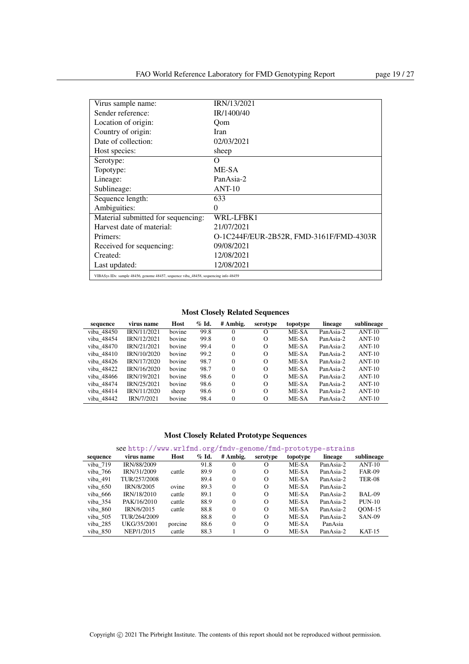| Virus sample name:                                                                  | IRN/13/2021                             |
|-------------------------------------------------------------------------------------|-----------------------------------------|
| Sender reference:                                                                   | IR/1400/40                              |
| Location of origin:                                                                 | Oom                                     |
| Country of origin:                                                                  | Iran                                    |
| Date of collection:                                                                 | 02/03/2021                              |
| Host species:                                                                       | sheep                                   |
| Serotype:                                                                           | O                                       |
| Topotype:                                                                           | ME-SA                                   |
| Lineage:                                                                            | PanAsia-2                               |
| Sublineage:                                                                         | $ANT-10$                                |
| Sequence length:                                                                    | 633                                     |
| Ambiguities:                                                                        | 0                                       |
| Material submitted for sequencing:                                                  | WRL-LFBK1                               |
| Harvest date of material:                                                           | 21/07/2021                              |
| Primers:                                                                            | O-1C244F/EUR-2B52R, FMD-3161F/FMD-4303R |
| Received for sequencing:                                                            | 09/08/2021                              |
| Created:                                                                            | 12/08/2021                              |
| Last updated:                                                                       | 12/08/2021                              |
| VIBASys IDs: sample 48456, genome 48457, sequence viba_48458, sequencing info 48459 |                                         |

Most Closely Related Sequences

| sequence   | virus name  | Host   | $\%$ Id. | # Ambig. | serotype | topotype | lineage   | sublineage |
|------------|-------------|--------|----------|----------|----------|----------|-----------|------------|
| viba 48450 | IRN/11/2021 | bovine | 99.8     | $\Omega$ | $\Omega$ | ME-SA    | PanAsia-2 | $ANT-10$   |
| viba 48454 | IRN/12/2021 | bovine | 99.8     | $\Omega$ | $\Omega$ | ME-SA    | PanAsia-2 | $ANT-10$   |
| viba 48470 | IRN/21/2021 | bovine | 99.4     | $\Omega$ | $\Omega$ | ME-SA    | PanAsia-2 | $ANT-10$   |
| viba 48410 | IRN/10/2020 | bovine | 99.2     | $\Omega$ | $\Omega$ | ME-SA    | PanAsia-2 | $ANT-10$   |
| viba 48426 | IRN/17/2020 | bovine | 98.7     | $\Omega$ | $\Omega$ | ME-SA    | PanAsia-2 | $ANT-10$   |
| viba 48422 | IRN/16/2020 | bovine | 98.7     | $\Omega$ | $\Omega$ | ME-SA    | PanAsia-2 | $ANT-10$   |
| viba 48466 | IRN/19/2021 | bovine | 98.6     | $\Omega$ | $\Omega$ | ME-SA    | PanAsia-2 | $ANT-10$   |
| viba 48474 | IRN/25/2021 | bovine | 98.6     | $\Omega$ | $\Omega$ | ME-SA    | PanAsia-2 | $ANT-10$   |
| viba 48414 | IRN/11/2020 | sheep  | 98.6     | $\Omega$ | $\Omega$ | ME-SA    | PanAsia-2 | $ANT-10$   |
| viba 48442 | IRN/7/2021  | bovine | 98.4     | $\Omega$ | $\Omega$ | ME-SA    | PanAsia-2 | $ANT-10$   |

| sequence | virus name         | Host    | $\%$ Id. | # Ambig. | serotype | topotype | lineage   | sublineage    |
|----------|--------------------|---------|----------|----------|----------|----------|-----------|---------------|
| viba 719 | <b>IRN/88/2009</b> |         | 91.8     | 0        |          | ME-SA    | PanAsia-2 | $ANT-10$      |
| viba 766 | IRN/31/2009        | cattle  | 89.9     | $\Omega$ | $\Omega$ | ME-SA    | PanAsia-2 | <b>FAR-09</b> |
| viba 491 | TUR/257/2008       |         | 89.4     | $\Omega$ | $\Omega$ | ME-SA    | PanAsia-2 | <b>TER-08</b> |
| viba 650 | IRN/8/2005         | ovine   | 89.3     | $\Omega$ | $\Omega$ | ME-SA    | PanAsia-2 |               |
| viba 666 | IRN/18/2010        | cattle  | 89.1     | $\Omega$ | $\Omega$ | ME-SA    | PanAsia-2 | BAL-09        |
| viba 354 | PAK/16/2010        | cattle  | 88.9     | $\Omega$ | $\Omega$ | ME-SA    | PanAsia-2 | $PUN-10$      |
| viba 860 | IRN/6/2015         | cattle  | 88.8     | $\Omega$ | $\Omega$ | ME-SA    | PanAsia-2 | $OM-15$       |
| viba 505 | TUR/264/2009       |         | 88.8     | $\Omega$ | $\Omega$ | ME-SA    | PanAsia-2 | <b>SAN-09</b> |
| viba 285 | UKG/35/2001        | porcine | 88.6     | $\Omega$ | $\Omega$ | ME-SA    | PanAsia   |               |
| viba 850 | NEP/1/2015         | cattle  | 88.3     |          | $\Omega$ | ME-SA    | PanAsia-2 | $KAT-15$      |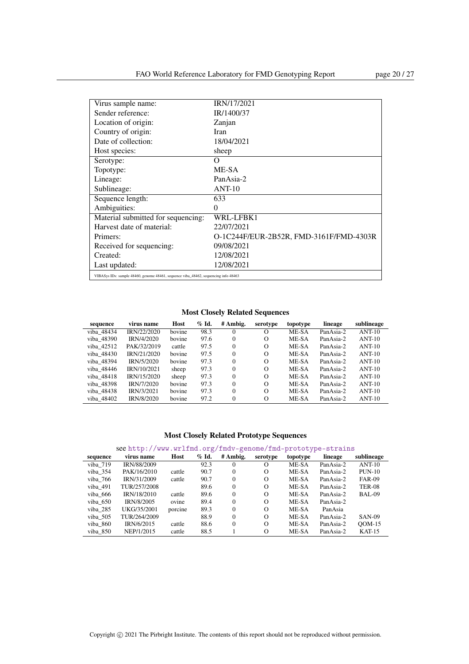| Virus sample name:                                                                  | IRN/17/2021                             |
|-------------------------------------------------------------------------------------|-----------------------------------------|
| Sender reference:                                                                   | IR/1400/37                              |
| Location of origin:                                                                 | Zanjan                                  |
| Country of origin:                                                                  | Iran                                    |
| Date of collection:                                                                 | 18/04/2021                              |
| Host species:                                                                       | sheep                                   |
| Serotype:                                                                           | Ω                                       |
| Topotype:                                                                           | ME-SA                                   |
| Lineage:                                                                            | PanAsia-2                               |
| Sublineage:                                                                         | $ANT-10$                                |
| Sequence length:                                                                    | 633                                     |
| Ambiguities:                                                                        | 0                                       |
| Material submitted for sequencing:                                                  | WRL-LFBK1                               |
| Harvest date of material:                                                           | 22/07/2021                              |
| Primers:                                                                            | O-1C244F/EUR-2B52R, FMD-3161F/FMD-4303R |
| Received for sequencing:                                                            | 09/08/2021                              |
| Created:                                                                            | 12/08/2021                              |
| Last updated:                                                                       | 12/08/2021                              |
| VIBASys IDs: sample 48460, genome 48461, sequence viba_48462, sequencing info 48463 |                                         |

| sequence   | virus name  | Host   | $\%$ Id. | # Ambig. | serotype | topotype | lineage   | sublineage |
|------------|-------------|--------|----------|----------|----------|----------|-----------|------------|
| viba 48434 | IRN/22/2020 | bovine | 98.3     |          | $\Omega$ | ME-SA    | PanAsia-2 | $ANT-10$   |
| viba 48390 | IRN/4/2020  | bovine | 97.6     | $\Omega$ | $\Omega$ | ME-SA    | PanAsia-2 | $ANT-10$   |
| viba 42512 | PAK/32/2019 | cattle | 97.5     | $\Omega$ | $\Omega$ | ME-SA    | PanAsia-2 | $ANT-10$   |
| viba 48430 | IRN/21/2020 | bovine | 97.5     | $\Omega$ | $\Omega$ | ME-SA    | PanAsia-2 | $ANT-10$   |
| viba 48394 | IRN/5/2020  | bovine | 97.3     | $\Omega$ | $\Omega$ | ME-SA    | PanAsia-2 | $ANT-10$   |
| viba 48446 | IRN/10/2021 | sheep  | 97.3     | $\Omega$ | $\Omega$ | ME-SA    | PanAsia-2 | $ANT-10$   |
| viba 48418 | IRN/15/2020 | sheep  | 97.3     | $\Omega$ | $\Omega$ | ME-SA    | PanAsia-2 | $ANT-10$   |
| viba 48398 | IRN/7/2020  | bovine | 97.3     | $\Omega$ | $\Omega$ | ME-SA    | PanAsia-2 | $ANT-10$   |
| viba 48438 | IRN/3/2021  | bovine | 97.3     | $\Omega$ | $\Omega$ | ME-SA    | PanAsia-2 | $ANT-10$   |
| viba 48402 | IRN/8/2020  | bovine | 97.2     | $\Omega$ | $\Omega$ | ME-SA    | PanAsia-2 | $ANT-10$   |

### Most Closely Related Prototype Sequences

| sequence | virus name   | Host    | $%$ Id. | # Ambig. | serotype | topotype | lineage   | sublineage    |
|----------|--------------|---------|---------|----------|----------|----------|-----------|---------------|
| viba 719 | IRN/88/2009  |         | 92.3    |          | $\Omega$ | ME-SA    | PanAsia-2 | $ANT-10$      |
| viba 354 | PAK/16/2010  | cattle  | 90.7    | $\Omega$ | $\Omega$ | ME-SA    | PanAsia-2 | $PUN-10$      |
| viba 766 | IRN/31/2009  | cattle  | 90.7    | $\Omega$ | $\Omega$ | ME-SA    | PanAsia-2 | <b>FAR-09</b> |
| viba 491 | TUR/257/2008 |         | 89.6    | $\Omega$ | $\Omega$ | ME-SA    | PanAsia-2 | <b>TER-08</b> |
| viba 666 | IRN/18/2010  | cattle  | 89.6    | $\Omega$ | $\Omega$ | ME-SA    | PanAsia-2 | BAL-09        |
| viba 650 | IRN/8/2005   | ovine   | 89.4    | $\Omega$ | $\Omega$ | ME-SA    | PanAsia-2 |               |
| viba 285 | UKG/35/2001  | porcine | 89.3    | $\Omega$ | $\Omega$ | ME-SA    | PanAsia   |               |
| viba 505 | TUR/264/2009 |         | 88.9    | $\Omega$ | $\Omega$ | ME-SA    | PanAsia-2 | <b>SAN-09</b> |
| viba 860 | IRN/6/2015   | cattle  | 88.6    | $\Omega$ | $\Omega$ | ME-SA    | PanAsia-2 | $OM-15$       |
| viba 850 | NEP/1/2015   | cattle  | 88.5    |          | $\Omega$ | ME-SA    | PanAsia-2 | $KAT-15$      |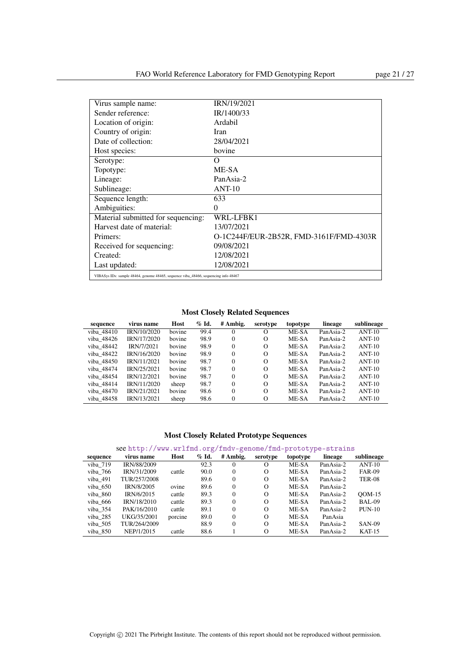| Virus sample name:                                                                  | IRN/19/2021                             |
|-------------------------------------------------------------------------------------|-----------------------------------------|
| Sender reference:                                                                   | IR/1400/33                              |
| Location of origin:                                                                 | Ardabil                                 |
| Country of origin:                                                                  | Iran                                    |
| Date of collection:                                                                 | 28/04/2021                              |
| Host species:                                                                       | bovine                                  |
| Serotype:                                                                           | Ω                                       |
| Topotype:                                                                           | ME-SA                                   |
| Lineage:                                                                            | PanAsia-2                               |
| Sublineage:                                                                         | $ANT-10$                                |
| Sequence length:                                                                    | 633                                     |
| Ambiguities:                                                                        | $\theta$                                |
| Material submitted for sequencing:                                                  | WRL-LFBK1                               |
| Harvest date of material:                                                           | 13/07/2021                              |
| Primers:                                                                            | O-1C244F/EUR-2B52R, FMD-3161F/FMD-4303R |
| Received for sequencing:                                                            | 09/08/2021                              |
| Created:                                                                            | 12/08/2021                              |
| Last updated:                                                                       | 12/08/2021                              |
| VIBASys IDs: sample 48464, genome 48465, sequence viba 48466, sequencing info 48467 |                                         |

Most Closely Related Sequences

| sequence   | virus name  | Host   | $\%$ Id. | # Ambig. | serotype | topotype | lineage   | sublineage |
|------------|-------------|--------|----------|----------|----------|----------|-----------|------------|
| viba 48410 | IRN/10/2020 | bovine | 99.4     | $\theta$ | $\Omega$ | ME-SA    | PanAsia-2 | $ANT-10$   |
| viba 48426 | IRN/17/2020 | bovine | 98.9     | $\Omega$ | $\Omega$ | ME-SA    | PanAsia-2 | $ANT-10$   |
| viba 48442 | IRN/7/2021  | bovine | 98.9     | $\Omega$ | $\Omega$ | ME-SA    | PanAsia-2 | $ANT-10$   |
| viba 48422 | IRN/16/2020 | bovine | 98.9     | $\Omega$ | $\Omega$ | ME-SA    | PanAsia-2 | $ANT-10$   |
| viba 48450 | IRN/11/2021 | bovine | 98.7     | $\Omega$ | $\Omega$ | ME-SA    | PanAsia-2 | $ANT-10$   |
| viba 48474 | IRN/25/2021 | bovine | 98.7     | $\Omega$ | $\Omega$ | ME-SA    | PanAsia-2 | $ANT-10$   |
| viba 48454 | IRN/12/2021 | bovine | 98.7     | $\Omega$ | $\Omega$ | ME-SA    | PanAsia-2 | $ANT-10$   |
| viba 48414 | IRN/11/2020 | sheep  | 98.7     | $\Omega$ | $\Omega$ | ME-SA    | PanAsia-2 | $ANT-10$   |
| viba 48470 | IRN/21/2021 | bovine | 98.6     | $\Omega$ | $\Omega$ | ME-SA    | PanAsia-2 | $ANT-10$   |
| viba 48458 | IRN/13/2021 | sheep  | 98.6     | $\Omega$ | $\Omega$ | ME-SA    | PanAsia-2 | $ANT-10$   |

|  |  |  | see http://www.wrlfmd.org/fmdv-genome/fmd-prototype-strains |
|--|--|--|-------------------------------------------------------------|
|--|--|--|-------------------------------------------------------------|

| sequence | virus name        | Host    | $\%$ Id. | # Ambig. | serotype | topotype | lineage   | sublineage    |
|----------|-------------------|---------|----------|----------|----------|----------|-----------|---------------|
| viba 719 | IRN/88/2009       |         | 92.3     |          | O        | ME-SA    | PanAsia-2 | $ANT-10$      |
| viba 766 | IRN/31/2009       | cattle  | 90.0     | $\Omega$ | $\Omega$ | ME-SA    | PanAsia-2 | <b>FAR-09</b> |
| viba 491 | TUR/257/2008      |         | 89.6     | $\Omega$ | $\Omega$ | ME-SA    | PanAsia-2 | <b>TER-08</b> |
| viba 650 | <b>IRN/8/2005</b> | ovine   | 89.6     | $\Omega$ | $\Omega$ | ME-SA    | PanAsia-2 |               |
| viba 860 | IRN/6/2015        | cattle  | 89.3     | $\Omega$ | $\Omega$ | ME-SA    | PanAsia-2 | $OM-15$       |
| viba 666 | IRN/18/2010       | cattle  | 89.3     | $\Omega$ | $\Omega$ | ME-SA    | PanAsia-2 | BAL-09        |
| viba 354 | PAK/16/2010       | cattle  | 89.1     | $\Omega$ | $\Omega$ | ME-SA    | PanAsia-2 | $PUN-10$      |
| viba 285 | UKG/35/2001       | porcine | 89.0     | $\Omega$ | $\Omega$ | ME-SA    | PanAsia   |               |
| viba 505 | TUR/264/2009      |         | 88.9     | $\Omega$ | $\Omega$ | ME-SA    | PanAsia-2 | <b>SAN-09</b> |
| viba 850 | NEP/1/2015        | cattle  | 88.6     |          | $\Omega$ | ME-SA    | PanAsia-2 | $KAT-15$      |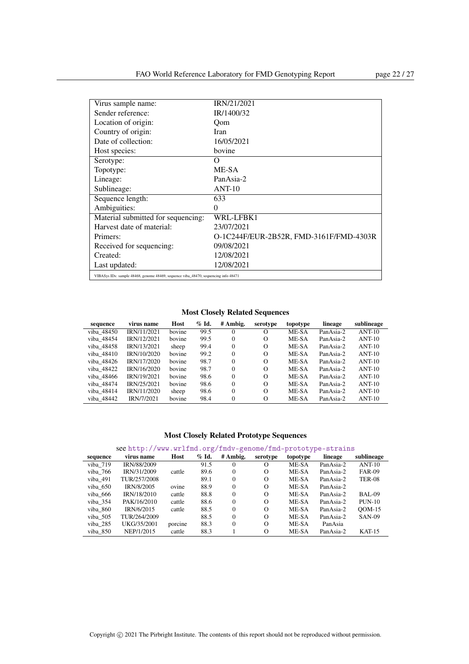| Virus sample name:                                                                  | IRN/21/2021                             |
|-------------------------------------------------------------------------------------|-----------------------------------------|
| Sender reference:                                                                   | IR/1400/32                              |
| Location of origin:                                                                 | Oom                                     |
| Country of origin:                                                                  | Iran                                    |
| Date of collection:                                                                 | 16/05/2021                              |
| Host species:                                                                       | bovine                                  |
| Serotype:                                                                           | O                                       |
| Topotype:                                                                           | ME-SA                                   |
| Lineage:                                                                            | PanAsia-2                               |
| Sublineage:                                                                         | $ANT-10$                                |
| Sequence length:                                                                    | 633                                     |
| Ambiguities:                                                                        | 0                                       |
| Material submitted for sequencing:                                                  | WRL-LFBK1                               |
| Harvest date of material:                                                           | 23/07/2021                              |
| Primers:                                                                            | O-1C244F/EUR-2B52R, FMD-3161F/FMD-4303R |
| Received for sequencing:                                                            | 09/08/2021                              |
| Created:                                                                            | 12/08/2021                              |
| Last updated:                                                                       | 12/08/2021                              |
| VIBASys IDs: sample 48468, genome 48469, sequence viba_48470, sequencing info 48471 |                                         |

Most Closely Related Sequences

| sequence   | virus name  | Host   | $%$ Id. | # Ambig. | serotype | topotype | lineage   | sublineage |
|------------|-------------|--------|---------|----------|----------|----------|-----------|------------|
| viba 48450 | IRN/11/2021 | bovine | 99.5    | $\Omega$ | $\Omega$ | ME-SA    | PanAsia-2 | $ANT-10$   |
| viba 48454 | IRN/12/2021 | bovine | 99.5    | $\Omega$ | $\Omega$ | ME-SA    | PanAsia-2 | $ANT-10$   |
| viba 48458 | IRN/13/2021 | sheep  | 99.4    | $\Omega$ | $\Omega$ | ME-SA    | PanAsia-2 | $ANT-10$   |
| viba 48410 | IRN/10/2020 | bovine | 99.2    | $\Omega$ | $\Omega$ | ME-SA    | PanAsia-2 | $ANT-10$   |
| viba 48426 | IRN/17/2020 | bovine | 98.7    | $\Omega$ | $\Omega$ | ME-SA    | PanAsia-2 | $ANT-10$   |
| viba 48422 | IRN/16/2020 | bovine | 98.7    | $\Omega$ | $\Omega$ | ME-SA    | PanAsia-2 | $ANT-10$   |
| viba 48466 | IRN/19/2021 | bovine | 98.6    | $\Omega$ | $\Omega$ | ME-SA    | PanAsia-2 | $ANT-10$   |
| viba 48474 | IRN/25/2021 | bovine | 98.6    | $\Omega$ | $\Omega$ | ME-SA    | PanAsia-2 | $ANT-10$   |
| viba 48414 | IRN/11/2020 | sheep  | 98.6    | $\Omega$ | $\Omega$ | ME-SA    | PanAsia-2 | $ANT-10$   |
| viba 48442 | IRN/7/2021  | bovine | 98.4    | $\Omega$ | $\Omega$ | ME-SA    | PanAsia-2 | $ANT-10$   |

| sequence | virus name         | Host    | $\%$ Id. | # Ambig. | serotype | topotype | lineage   | sublineage    |
|----------|--------------------|---------|----------|----------|----------|----------|-----------|---------------|
| viba 719 | <b>IRN/88/2009</b> |         | 91.5     |          | O        | ME-SA    | PanAsia-2 | $ANT-10$      |
| viba 766 | IRN/31/2009        | cattle  | 89.6     | $\Omega$ | $\Omega$ | ME-SA    | PanAsia-2 | <b>FAR-09</b> |
| viba 491 | TUR/257/2008       |         | 89.1     | $\Omega$ | $\Omega$ | ME-SA    | PanAsia-2 | <b>TER-08</b> |
| viba 650 | IRN/8/2005         | ovine   | 88.9     | $\Omega$ | $\Omega$ | ME-SA    | PanAsia-2 |               |
| viba 666 | <b>IRN/18/2010</b> | cattle  | 88.8     | $\Omega$ | $\Omega$ | ME-SA    | PanAsia-2 | BAL-09        |
| viba 354 | PAK/16/2010        | cattle  | 88.6     | $\Omega$ | $\Omega$ | ME-SA    | PanAsia-2 | $PUN-10$      |
| viba 860 | IRN/6/2015         | cattle  | 88.5     | $\Omega$ | $\Omega$ | ME-SA    | PanAsia-2 | $ODM-15$      |
| viba 505 | TUR/264/2009       |         | 88.5     | $\Omega$ | $\Omega$ | ME-SA    | PanAsia-2 | <b>SAN-09</b> |
| viba 285 | UKG/35/2001        | porcine | 88.3     | $\Omega$ | $\Omega$ | ME-SA    | PanAsia   |               |
| viba 850 | NEP/1/2015         | cattle  | 88.3     |          | $\Omega$ | ME-SA    | PanAsia-2 | $KAT-15$      |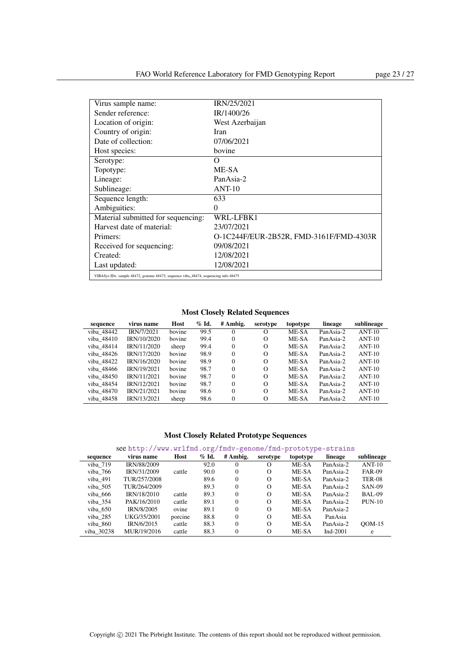| Virus sample name:                                                                  | IRN/25/2021                             |
|-------------------------------------------------------------------------------------|-----------------------------------------|
| Sender reference:                                                                   | IR/1400/26                              |
| Location of origin:                                                                 | West Azerbaijan                         |
| Country of origin:                                                                  | Iran                                    |
| Date of collection:                                                                 | 07/06/2021                              |
| Host species:                                                                       | bovine                                  |
| Serotype:                                                                           | Ω                                       |
| Topotype:                                                                           | ME-SA                                   |
| Lineage:                                                                            | PanAsia-2                               |
| Sublineage:                                                                         | $ANT-10$                                |
| Sequence length:                                                                    | 633                                     |
| Ambiguities:                                                                        | $\theta$                                |
| Material submitted for sequencing:                                                  | WRL-LFBK1                               |
| Harvest date of material:                                                           | 23/07/2021                              |
| Primers:                                                                            | O-1C244F/EUR-2B52R, FMD-3161F/FMD-4303R |
| Received for sequencing:                                                            | 09/08/2021                              |
| Created:                                                                            | 12/08/2021                              |
| Last updated:                                                                       | 12/08/2021                              |
| VIBASys IDs: sample 48472, genome 48473, sequence viba 48474, sequencing info 48475 |                                         |

| sequence   | virus name  | Host   | $\%$ Id. | # Ambig. | serotype | topotype | lineage   | sublineage |
|------------|-------------|--------|----------|----------|----------|----------|-----------|------------|
| viba 48442 | IRN/7/2021  | bovine | 99.5     |          | O        | ME-SA    | PanAsia-2 | $ANT-10$   |
| viba 48410 | IRN/10/2020 | bovine | 99.4     | $\Omega$ | $\Omega$ | ME-SA    | PanAsia-2 | $ANT-10$   |
| viba 48414 | IRN/11/2020 | sheep  | 99.4     | $\Omega$ | $\Omega$ | ME-SA    | PanAsia-2 | $ANT-10$   |
| viba 48426 | IRN/17/2020 | bovine | 98.9     | $\Omega$ | $\Omega$ | ME-SA    | PanAsia-2 | $ANT-10$   |
| viba 48422 | IRN/16/2020 | bovine | 98.9     | $\Omega$ | $\Omega$ | ME-SA    | PanAsia-2 | $ANT-10$   |
| viba 48466 | IRN/19/2021 | bovine | 98.7     | $\Omega$ | $\Omega$ | ME-SA    | PanAsia-2 | $ANT-10$   |
| viba 48450 | IRN/11/2021 | bovine | 98.7     | $\Omega$ | $\Omega$ | ME-SA    | PanAsia-2 | $ANT-10$   |
| viba 48454 | IRN/12/2021 | bovine | 98.7     | $\Omega$ | $\Omega$ | ME-SA    | PanAsia-2 | $ANT-10$   |
| viba 48470 | IRN/21/2021 | bovine | 98.6     | $\Omega$ | $\Omega$ | ME-SA    | PanAsia-2 | $ANT-10$   |
| viba 48458 | IRN/13/2021 | sheep  | 98.6     | $\Omega$ | $\Omega$ | ME-SA    | PanAsia-2 | $ANT-10$   |

### Most Closely Related Prototype Sequences

| sequence   | virus name   | Host    | $%$ Id. | # Ambig. | serotype | topotype | lineage     | sublineage    |
|------------|--------------|---------|---------|----------|----------|----------|-------------|---------------|
| viba 719   | IRN/88/2009  |         | 92.0    | $\Omega$ | О        | ME-SA    | PanAsia-2   | $ANT-10$      |
| viba 766   | IRN/31/2009  | cattle  | 90.0    | $\Omega$ | $\Omega$ | ME-SA    | PanAsia-2   | <b>FAR-09</b> |
| viba 491   | TUR/257/2008 |         | 89.6    | $\Omega$ | $\Omega$ | ME-SA    | PanAsia-2   | <b>TER-08</b> |
| viba 505   | TUR/264/2009 |         | 89.3    | $\Omega$ | $\Omega$ | ME-SA    | PanAsia-2   | <b>SAN-09</b> |
| viba 666   | IRN/18/2010  | cattle  | 89.3    | $\Omega$ | $\Omega$ | ME-SA    | PanAsia-2   | BAL-09        |
| viba 354   | PAK/16/2010  | cattle  | 89.1    | $\Omega$ | $\Omega$ | ME-SA    | PanAsia-2   | $PUN-10$      |
| viba 650   | IRN/8/2005   | ovine   | 89.1    | $\Omega$ | $\Omega$ | ME-SA    | PanAsia-2   |               |
| viba 285   | UKG/35/2001  | porcine | 88.8    | $\Omega$ | $\Omega$ | ME-SA    | PanAsia     |               |
| viba 860   | IRN/6/2015   | cattle  | 88.3    | $\Omega$ | $\Omega$ | ME-SA    | PanAsia-2   | $OM-15$       |
| viba 30238 | MUR/19/2016  | cattle  | 88.3    | $\Omega$ | $\Omega$ | ME-SA    | Ind- $2001$ | e             |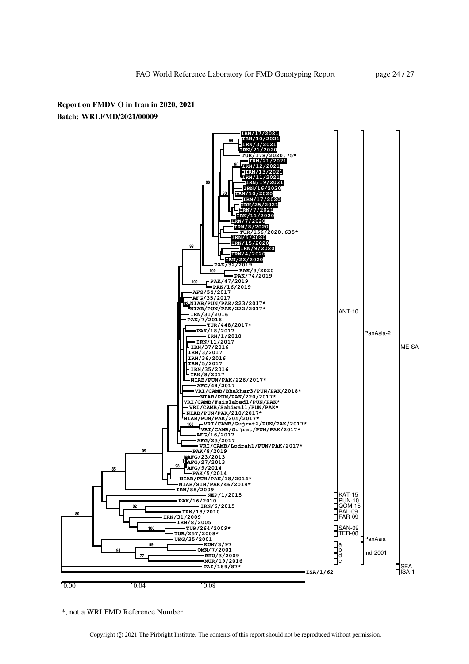![](_page_23_Figure_2.jpeg)

\*, not a WRLFMD Reference Number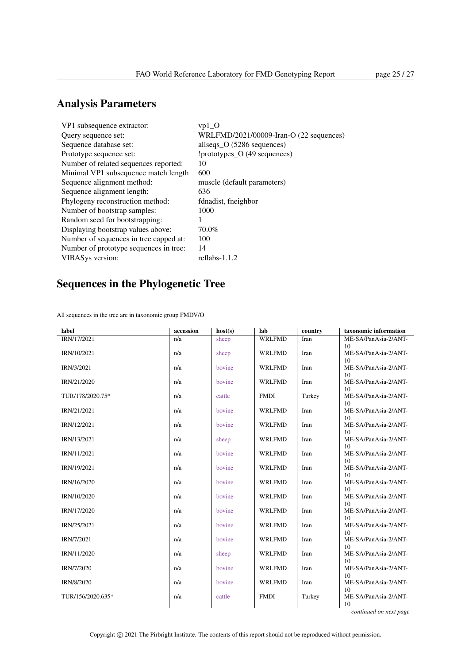## Analysis Parameters

| $vp1$ O                                 |
|-----------------------------------------|
| WRLFMD/2021/00009-Iran-O (22 sequences) |
| allseqs_O (5286 sequences)              |
| !prototypes_O (49 sequences)            |
| 10                                      |
| 600                                     |
| muscle (default parameters)             |
| 636                                     |
| fdnadist, fneighbor                     |
| 1000                                    |
|                                         |
| 70.0%                                   |
| 100                                     |
| 14                                      |
| reflabs- $1.1.2$                        |
|                                         |

## Sequences in the Phylogenetic Tree

All sequences in the tree are in taxonomic group FMDV/O

| label             | accession | host(s) | lab           | country | taxonomic information            |
|-------------------|-----------|---------|---------------|---------|----------------------------------|
| IRN/17/2021       | n/a       | sheep   | <b>WRLFMD</b> | Iran    | ME-SA/PanAsia-2/ANT-             |
| IRN/10/2021       | n/a       | sheep   | <b>WRLFMD</b> | Iran    | 10<br>ME-SA/PanAsia-2/ANT-<br>10 |
| IRN/3/2021        | n/a       | bovine  | <b>WRLFMD</b> | Iran    | ME-SA/PanAsia-2/ANT-<br>10       |
| IRN/21/2020       | n/a       | bovine  | <b>WRLFMD</b> | Iran    | ME-SA/PanAsia-2/ANT-<br>10       |
| TUR/178/2020.75*  | n/a       | cattle  | <b>FMDI</b>   | Turkey  | ME-SA/PanAsia-2/ANT-<br>10       |
| IRN/21/2021       | n/a       | bovine  | <b>WRLFMD</b> | Iran    | ME-SA/PanAsia-2/ANT-<br>10       |
| IRN/12/2021       | n/a       | bovine  | <b>WRLFMD</b> | Iran    | ME-SA/PanAsia-2/ANT-<br>10       |
| IRN/13/2021       | n/a       | sheep   | <b>WRLFMD</b> | Iran    | ME-SA/PanAsia-2/ANT-<br>10       |
| IRN/11/2021       | n/a       | bovine  | <b>WRLFMD</b> | Iran    | ME-SA/PanAsia-2/ANT-             |
| IRN/19/2021       | n/a       | bovine  | <b>WRLFMD</b> | Iran    | 10<br>ME-SA/PanAsia-2/ANT-       |
| IRN/16/2020       | n/a       | bovine  | <b>WRLFMD</b> | Iran    | 10<br>ME-SA/PanAsia-2/ANT-       |
| IRN/10/2020       | n/a       | bovine  | <b>WRLFMD</b> | Iran    | 10<br>ME-SA/PanAsia-2/ANT-       |
| IRN/17/2020       | n/a       | bovine  | <b>WRLFMD</b> | Iran    | 10<br>ME-SA/PanAsia-2/ANT-       |
| IRN/25/2021       | n/a       | bovine  | <b>WRLFMD</b> | Iran    | 10<br>ME-SA/PanAsia-2/ANT-       |
| IRN/7/2021        | n/a       | bovine  | <b>WRLFMD</b> | Iran    | 10<br>ME-SA/PanAsia-2/ANT-       |
| IRN/11/2020       | n/a       | sheep   | <b>WRLFMD</b> | Iran    | 10<br>ME-SA/PanAsia-2/ANT-       |
| IRN/7/2020        | n/a       | bovine  | <b>WRLFMD</b> | Iran    | 10<br>ME-SA/PanAsia-2/ANT-       |
| IRN/8/2020        | n/a       | bovine  | <b>WRLFMD</b> | Iran    | 10<br>ME-SA/PanAsia-2/ANT-       |
| TUR/156/2020.635* | n/a       | cattle  | <b>FMDI</b>   | Turkey  | 10<br>ME-SA/PanAsia-2/ANT-       |
|                   |           |         |               |         | 10<br>continued on next page     |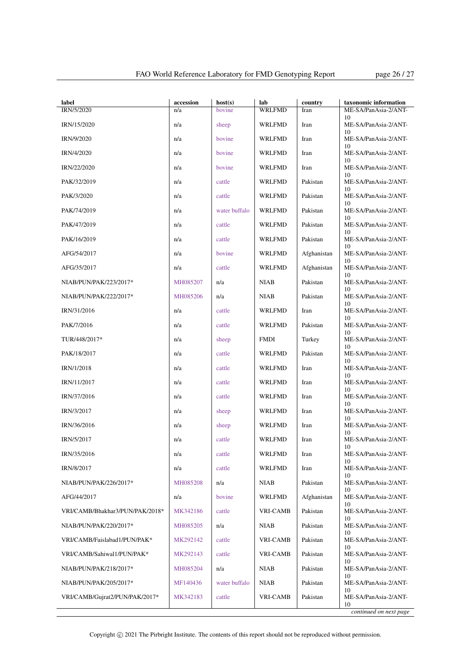| label<br><b>IRN/5/2020</b>      | accession<br>n/a | host(s)<br><b>bovine</b> | lab<br><b>WRLFMD</b> | country<br>Iran | taxonomic information<br>ME-SA/PanAsia-2/ANT- |
|---------------------------------|------------------|--------------------------|----------------------|-----------------|-----------------------------------------------|
| IRN/15/2020                     | n/a              | sheep                    | <b>WRLFMD</b>        | Iran            | 10<br>ME-SA/PanAsia-2/ANT-                    |
| IRN/9/2020                      | n/a              | bovine                   | <b>WRLFMD</b>        | Iran            | 10<br>ME-SA/PanAsia-2/ANT-                    |
| IRN/4/2020                      | n/a              | bovine                   | <b>WRLFMD</b>        | Iran            | 10<br>ME-SA/PanAsia-2/ANT-                    |
| IRN/22/2020                     | n/a              | bovine                   | WRLFMD               | Iran            | 10<br>ME-SA/PanAsia-2/ANT-                    |
| PAK/32/2019                     | n/a              | cattle                   | <b>WRLFMD</b>        | Pakistan        | 10<br>ME-SA/PanAsia-2/ANT-                    |
| PAK/3/2020                      | n/a              | cattle                   | <b>WRLFMD</b>        | Pakistan        | 10<br>ME-SA/PanAsia-2/ANT-                    |
| PAK/74/2019                     | n/a              | water buffalo            | <b>WRLFMD</b>        | Pakistan        | 10<br>ME-SA/PanAsia-2/ANT-                    |
| PAK/47/2019                     | n/a              | cattle                   | WRLFMD               | Pakistan        | 10<br>ME-SA/PanAsia-2/ANT-                    |
| PAK/16/2019                     | n/a              | cattle                   | WRLFMD               | Pakistan        | 10<br>ME-SA/PanAsia-2/ANT-                    |
| AFG/54/2017                     | n/a              | bovine                   | WRLFMD               | Afghanistan     | 10<br>ME-SA/PanAsia-2/ANT-                    |
| AFG/35/2017                     | n/a              | cattle                   | WRLFMD               | Afghanistan     | 10<br>ME-SA/PanAsia-2/ANT-                    |
| NIAB/PUN/PAK/223/2017*          | MH085207         | n/a                      | <b>NIAB</b>          | Pakistan        | 10<br>ME-SA/PanAsia-2/ANT-                    |
| NIAB/PUN/PAK/222/2017*          | MH085206         | n/a                      | <b>NIAB</b>          | Pakistan        | 10<br>ME-SA/PanAsia-2/ANT-                    |
| IRN/31/2016                     | n/a              | cattle                   | <b>WRLFMD</b>        | Iran            | 10<br>ME-SA/PanAsia-2/ANT-                    |
| PAK/7/2016                      | n/a              | cattle                   | <b>WRLFMD</b>        | Pakistan        | 10<br>ME-SA/PanAsia-2/ANT-                    |
| TUR/448/2017*                   | n/a              | sheep                    | <b>FMDI</b>          | Turkey          | 10<br>ME-SA/PanAsia-2/ANT-                    |
| PAK/18/2017                     | n/a              | cattle                   | WRLFMD               | Pakistan        | 10<br>ME-SA/PanAsia-2/ANT-                    |
| IRN/1/2018                      | n/a              | cattle                   | WRLFMD               | Iran            | 10<br>ME-SA/PanAsia-2/ANT-                    |
| IRN/11/2017                     | n/a              | cattle                   | WRLFMD               | Iran            | 10<br>ME-SA/PanAsia-2/ANT-                    |
| IRN/37/2016                     | n/a              | cattle                   | <b>WRLFMD</b>        | Iran            | 10<br>ME-SA/PanAsia-2/ANT-                    |
| IRN/3/2017                      | n/a              | sheep                    | WRLFMD               | Iran            | 10<br>ME-SA/PanAsia-2/ANT-                    |
| IRN/36/2016                     | n/a              | sheep                    | <b>WRLFMD</b>        | Iran            | 10<br>ME-SA/PanAsia-2/ANT-                    |
| IRN/5/2017                      | n/a              | cattle                   | <b>WRLFMD</b>        | Iran            | 10<br>ME-SA/PanAsia-2/ANT-                    |
| IRN/35/2016                     | n/a              | cattle                   | <b>WRLFMD</b>        | Iran            | 10<br>ME-SA/PanAsia-2/ANT-<br>10              |
| IRN/8/2017                      | n/a              | cattle                   | WRLFMD               | Iran            | ME-SA/PanAsia-2/ANT-<br>10                    |
| NIAB/PUN/PAK/226/2017*          | MH085208         | n/a                      | <b>NIAB</b>          | Pakistan        | ME-SA/PanAsia-2/ANT-<br>10                    |
| AFG/44/2017                     | n/a              | bovine                   | WRLFMD               | Afghanistan     | ME-SA/PanAsia-2/ANT-<br>10                    |
| VRI/CAMB/Bhakhar3/PUN/PAK/2018* | MK342186         | cattle                   | <b>VRI-CAMB</b>      | Pakistan        | ME-SA/PanAsia-2/ANT-<br>10                    |
| NIAB/PUN/PAK/220/2017*          | MH085205         | n/a                      | <b>NIAB</b>          | Pakistan        | ME-SA/PanAsia-2/ANT-<br>10                    |
| VRI/CAMB/Faislabad1/PUN/PAK*    | MK292142         | cattle                   | <b>VRI-CAMB</b>      | Pakistan        | ME-SA/PanAsia-2/ANT-<br>10                    |
| VRI/CAMB/Sahiwal1/PUN/PAK*      | MK292143         | cattle                   | <b>VRI-CAMB</b>      | Pakistan        | ME-SA/PanAsia-2/ANT-<br>10                    |
| NIAB/PUN/PAK/218/2017*          | MH085204         | n/a                      | <b>NIAB</b>          | Pakistan        | ME-SA/PanAsia-2/ANT-<br>10                    |
| NIAB/PUN/PAK/205/2017*          | MF140436         | water buffalo            | <b>NIAB</b>          | Pakistan        | ME-SA/PanAsia-2/ANT-<br>10                    |
| VRI/CAMB/Gujrat2/PUN/PAK/2017*  | MK342183         | cattle                   | <b>VRI-CAMB</b>      | Pakistan        | ME-SA/PanAsia-2/ANT-<br>10                    |
|                                 |                  |                          |                      |                 | continued on next page                        |